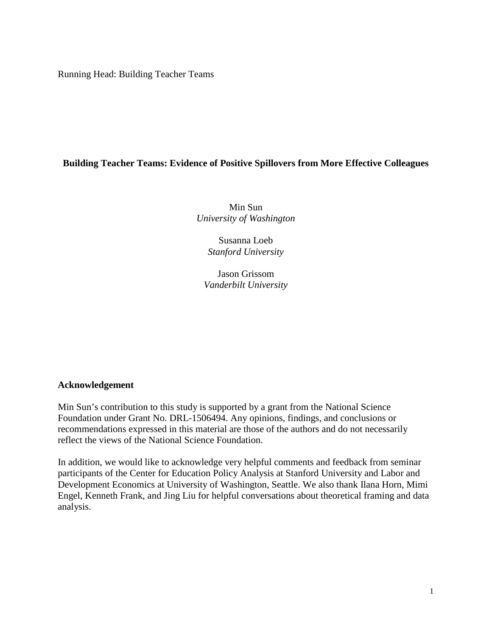Running Head: Building Teacher Teams

# **Building Teacher Teams: Evidence of Positive Spillovers from More Effective Colleagues**

Min Sun *University of Washington*

> Susanna Loeb *Stanford University*

Jason Grissom *Vanderbilt University*

## **Acknowledgement**

Min Sun's contribution to this study is supported by a grant from the National Science Foundation under Grant No. DRL-1506494. Any opinions, findings, and conclusions or recommendations expressed in this material are those of the authors and do not necessarily reflect the views of the National Science Foundation.

In addition, we would like to acknowledge very helpful comments and feedback from seminar participants of the Center for Education Policy Analysis at Stanford University and Labor and Development Economics at University of Washington, Seattle. We also thank Ilana Horn, Mimi Engel, Kenneth Frank, and Jing Liu for helpful conversations about theoretical framing and data analysis.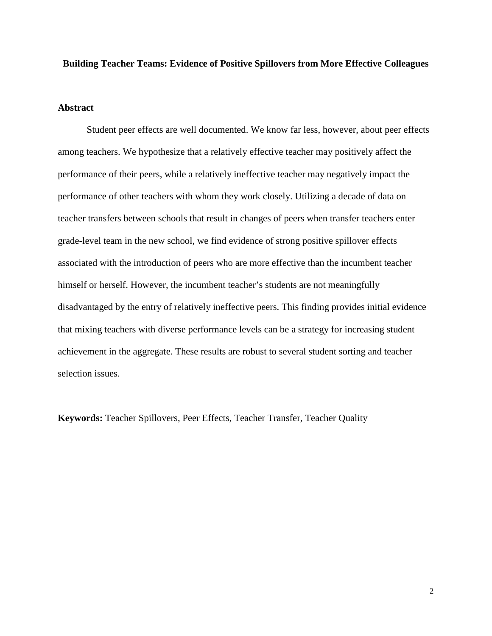### **Building Teacher Teams: Evidence of Positive Spillovers from More Effective Colleagues**

## **Abstract**

Student peer effects are well documented. We know far less, however, about peer effects among teachers. We hypothesize that a relatively effective teacher may positively affect the performance of their peers, while a relatively ineffective teacher may negatively impact the performance of other teachers with whom they work closely. Utilizing a decade of data on teacher transfers between schools that result in changes of peers when transfer teachers enter grade-level team in the new school, we find evidence of strong positive spillover effects associated with the introduction of peers who are more effective than the incumbent teacher himself or herself. However, the incumbent teacher's students are not meaningfully disadvantaged by the entry of relatively ineffective peers. This finding provides initial evidence that mixing teachers with diverse performance levels can be a strategy for increasing student achievement in the aggregate. These results are robust to several student sorting and teacher selection issues.

**Keywords:** Teacher Spillovers, Peer Effects, Teacher Transfer, Teacher Quality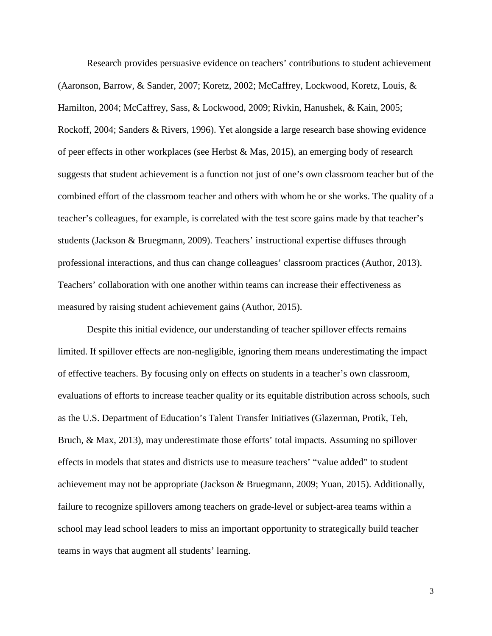Research provides persuasive evidence on teachers' contributions to student achievement (Aaronson, Barrow, & Sander, 2007; Koretz, 2002; McCaffrey, Lockwood, Koretz, Louis, & Hamilton, 2004; McCaffrey, Sass, & Lockwood, 2009; Rivkin, Hanushek, & Kain, 2005; Rockoff, 2004; Sanders & Rivers, 1996). Yet alongside a large research base showing evidence of peer effects in other workplaces (see Herbst & Mas, 2015), an emerging body of research suggests that student achievement is a function not just of one's own classroom teacher but of the combined effort of the classroom teacher and others with whom he or she works. The quality of a teacher's colleagues, for example, is correlated with the test score gains made by that teacher's students (Jackson & Bruegmann, 2009). Teachers' instructional expertise diffuses through professional interactions, and thus can change colleagues' classroom practices (Author, 2013). Teachers' collaboration with one another within teams can increase their effectiveness as measured by raising student achievement gains (Author, 2015).

Despite this initial evidence, our understanding of teacher spillover effects remains limited. If spillover effects are non-negligible, ignoring them means underestimating the impact of effective teachers. By focusing only on effects on students in a teacher's own classroom, evaluations of efforts to increase teacher quality or its equitable distribution across schools, such as the U.S. Department of Education's Talent Transfer Initiatives (Glazerman, Protik, Teh, Bruch, & Max, 2013), may underestimate those efforts' total impacts. Assuming no spillover effects in models that states and districts use to measure teachers' "value added" to student achievement may not be appropriate (Jackson & Bruegmann, 2009; Yuan, 2015). Additionally, failure to recognize spillovers among teachers on grade-level or subject-area teams within a school may lead school leaders to miss an important opportunity to strategically build teacher teams in ways that augment all students' learning.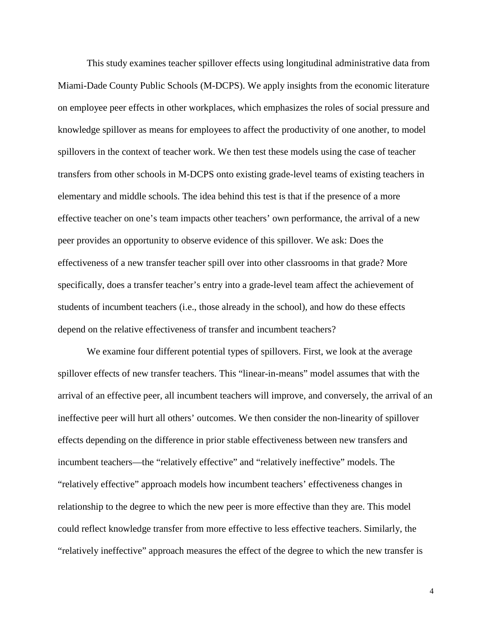This study examines teacher spillover effects using longitudinal administrative data from Miami-Dade County Public Schools (M-DCPS). We apply insights from the economic literature on employee peer effects in other workplaces, which emphasizes the roles of social pressure and knowledge spillover as means for employees to affect the productivity of one another, to model spillovers in the context of teacher work. We then test these models using the case of teacher transfers from other schools in M-DCPS onto existing grade-level teams of existing teachers in elementary and middle schools. The idea behind this test is that if the presence of a more effective teacher on one's team impacts other teachers' own performance, the arrival of a new peer provides an opportunity to observe evidence of this spillover. We ask: Does the effectiveness of a new transfer teacher spill over into other classrooms in that grade? More specifically, does a transfer teacher's entry into a grade-level team affect the achievement of students of incumbent teachers (i.e., those already in the school), and how do these effects depend on the relative effectiveness of transfer and incumbent teachers?

We examine four different potential types of spillovers. First, we look at the average spillover effects of new transfer teachers. This "linear-in-means" model assumes that with the arrival of an effective peer, all incumbent teachers will improve, and conversely, the arrival of an ineffective peer will hurt all others' outcomes. We then consider the non-linearity of spillover effects depending on the difference in prior stable effectiveness between new transfers and incumbent teachers—the "relatively effective" and "relatively ineffective" models. The "relatively effective" approach models how incumbent teachers' effectiveness changes in relationship to the degree to which the new peer is more effective than they are. This model could reflect knowledge transfer from more effective to less effective teachers. Similarly, the "relatively ineffective" approach measures the effect of the degree to which the new transfer is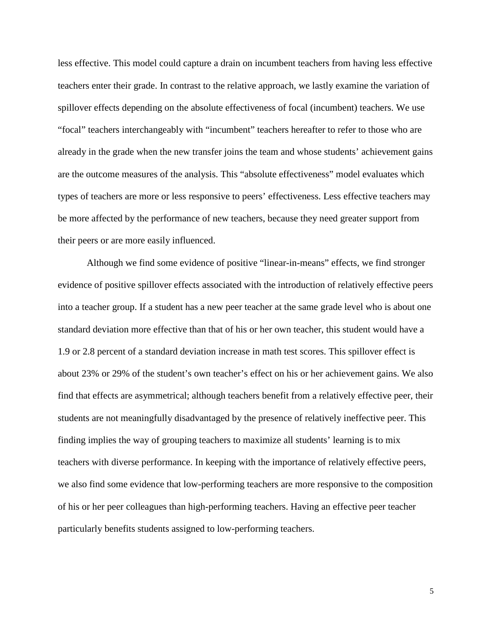less effective. This model could capture a drain on incumbent teachers from having less effective teachers enter their grade. In contrast to the relative approach, we lastly examine the variation of spillover effects depending on the absolute effectiveness of focal (incumbent) teachers. We use "focal" teachers interchangeably with "incumbent" teachers hereafter to refer to those who are already in the grade when the new transfer joins the team and whose students' achievement gains are the outcome measures of the analysis. This "absolute effectiveness" model evaluates which types of teachers are more or less responsive to peers' effectiveness. Less effective teachers may be more affected by the performance of new teachers, because they need greater support from their peers or are more easily influenced.

Although we find some evidence of positive "linear-in-means" effects, we find stronger evidence of positive spillover effects associated with the introduction of relatively effective peers into a teacher group. If a student has a new peer teacher at the same grade level who is about one standard deviation more effective than that of his or her own teacher, this student would have a 1.9 or 2.8 percent of a standard deviation increase in math test scores. This spillover effect is about 23% or 29% of the student's own teacher's effect on his or her achievement gains. We also find that effects are asymmetrical; although teachers benefit from a relatively effective peer, their students are not meaningfully disadvantaged by the presence of relatively ineffective peer. This finding implies the way of grouping teachers to maximize all students' learning is to mix teachers with diverse performance. In keeping with the importance of relatively effective peers, we also find some evidence that low-performing teachers are more responsive to the composition of his or her peer colleagues than high-performing teachers. Having an effective peer teacher particularly benefits students assigned to low-performing teachers.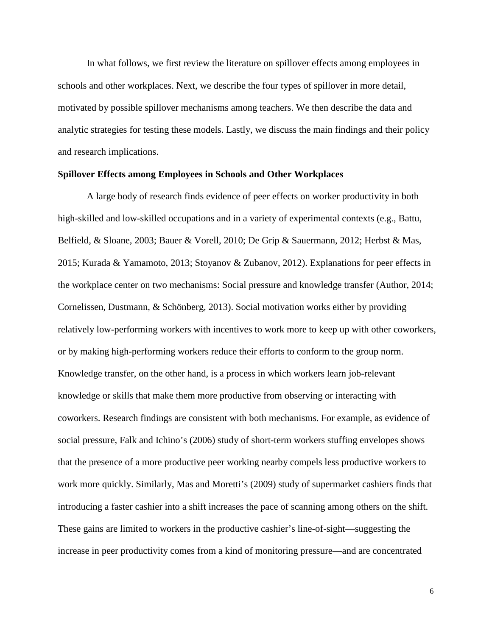In what follows, we first review the literature on spillover effects among employees in schools and other workplaces. Next, we describe the four types of spillover in more detail, motivated by possible spillover mechanisms among teachers. We then describe the data and analytic strategies for testing these models. Lastly, we discuss the main findings and their policy and research implications.

#### **Spillover Effects among Employees in Schools and Other Workplaces**

A large body of research finds evidence of peer effects on worker productivity in both high-skilled and low-skilled occupations and in a variety of experimental contexts (e.g., Battu, Belfield, & Sloane, 2003; Bauer & Vorell, 2010; De Grip & Sauermann, 2012; Herbst & Mas, 2015; Kurada & Yamamoto, 2013; Stoyanov & Zubanov, 2012). Explanations for peer effects in the workplace center on two mechanisms: Social pressure and knowledge transfer (Author, 2014; Cornelissen, Dustmann, & Schönberg, 2013). Social motivation works either by providing relatively low-performing workers with incentives to work more to keep up with other coworkers, or by making high-performing workers reduce their efforts to conform to the group norm. Knowledge transfer, on the other hand, is a process in which workers learn job-relevant knowledge or skills that make them more productive from observing or interacting with coworkers. Research findings are consistent with both mechanisms. For example, as evidence of social pressure, Falk and Ichino's (2006) study of short-term workers stuffing envelopes shows that the presence of a more productive peer working nearby compels less productive workers to work more quickly. Similarly, Mas and Moretti's (2009) study of supermarket cashiers finds that introducing a faster cashier into a shift increases the pace of scanning among others on the shift. These gains are limited to workers in the productive cashier's line-of-sight—suggesting the increase in peer productivity comes from a kind of monitoring pressure—and are concentrated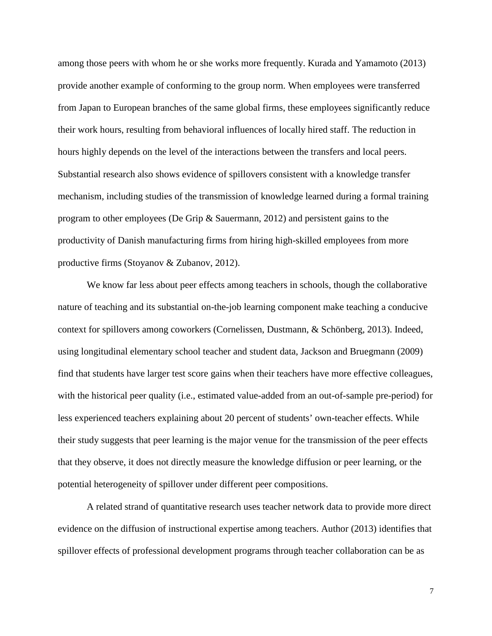among those peers with whom he or she works more frequently. Kurada and Yamamoto (2013) provide another example of conforming to the group norm. When employees were transferred from Japan to European branches of the same global firms, these employees significantly reduce their work hours, resulting from behavioral influences of locally hired staff. The reduction in hours highly depends on the level of the interactions between the transfers and local peers. Substantial research also shows evidence of spillovers consistent with a knowledge transfer mechanism, including studies of the transmission of knowledge learned during a formal training program to other employees (De Grip & Sauermann, 2012) and persistent gains to the productivity of Danish manufacturing firms from hiring high-skilled employees from more productive firms (Stoyanov & Zubanov, 2012).

We know far less about peer effects among teachers in schools, though the collaborative nature of teaching and its substantial on-the-job learning component make teaching a conducive context for spillovers among coworkers (Cornelissen, Dustmann, & Schönberg, 2013). Indeed, using longitudinal elementary school teacher and student data, Jackson and Bruegmann (2009) find that students have larger test score gains when their teachers have more effective colleagues, with the historical peer quality (i.e., estimated value-added from an out-of-sample pre-period) for less experienced teachers explaining about 20 percent of students' own-teacher effects. While their study suggests that peer learning is the major venue for the transmission of the peer effects that they observe, it does not directly measure the knowledge diffusion or peer learning, or the potential heterogeneity of spillover under different peer compositions.

A related strand of quantitative research uses teacher network data to provide more direct evidence on the diffusion of instructional expertise among teachers. Author (2013) identifies that spillover effects of professional development programs through teacher collaboration can be as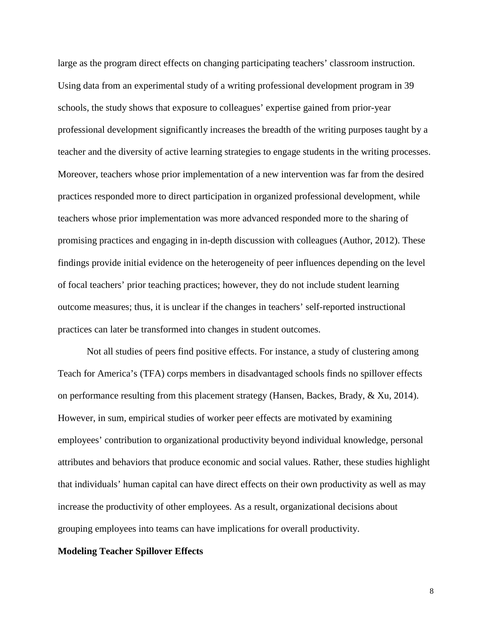large as the program direct effects on changing participating teachers' classroom instruction. Using data from an experimental study of a writing professional development program in 39 schools, the study shows that exposure to colleagues' expertise gained from prior-year professional development significantly increases the breadth of the writing purposes taught by a teacher and the diversity of active learning strategies to engage students in the writing processes. Moreover, teachers whose prior implementation of a new intervention was far from the desired practices responded more to direct participation in organized professional development, while teachers whose prior implementation was more advanced responded more to the sharing of promising practices and engaging in in-depth discussion with colleagues (Author, 2012). These findings provide initial evidence on the heterogeneity of peer influences depending on the level of focal teachers' prior teaching practices; however, they do not include student learning outcome measures; thus, it is unclear if the changes in teachers' self-reported instructional practices can later be transformed into changes in student outcomes.

Not all studies of peers find positive effects. For instance, a study of clustering among Teach for America's (TFA) corps members in disadvantaged schools finds no spillover effects on performance resulting from this placement strategy (Hansen, Backes, Brady, & Xu, 2014). However, in sum, empirical studies of worker peer effects are motivated by examining employees' contribution to organizational productivity beyond individual knowledge, personal attributes and behaviors that produce economic and social values. Rather, these studies highlight that individuals' human capital can have direct effects on their own productivity as well as may increase the productivity of other employees. As a result, organizational decisions about grouping employees into teams can have implications for overall productivity.

#### **Modeling Teacher Spillover Effects**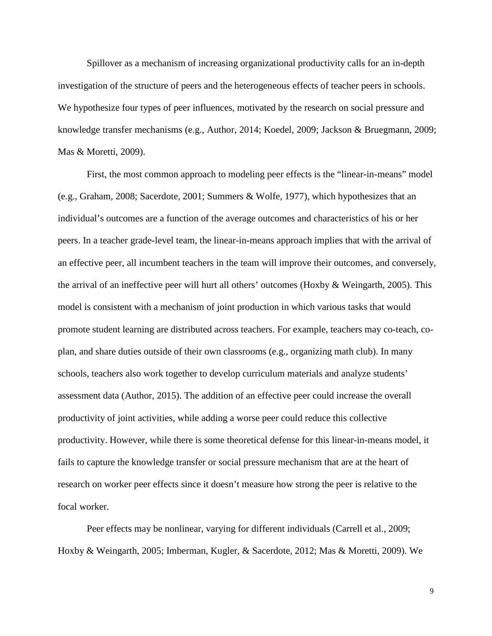Spillover as a mechanism of increasing organizational productivity calls for an in-depth investigation of the structure of peers and the heterogeneous effects of teacher peers in schools. We hypothesize four types of peer influences, motivated by the research on social pressure and knowledge transfer mechanisms (e.g., Author, 2014; Koedel, 2009; Jackson & Bruegmann, 2009; Mas & Moretti, 2009).

First, the most common approach to modeling peer effects is the "linear-in-means" model (e.g., Graham, 2008; Sacerdote, 2001; Summers & Wolfe, 1977), which hypothesizes that an individual's outcomes are a function of the average outcomes and characteristics of his or her peers. In a teacher grade-level team, the linear-in-means approach implies that with the arrival of an effective peer, all incumbent teachers in the team will improve their outcomes, and conversely, the arrival of an ineffective peer will hurt all others' outcomes (Hoxby & Weingarth, 2005). This model is consistent with a mechanism of joint production in which various tasks that would promote student learning are distributed across teachers. For example, teachers may co-teach, coplan, and share duties outside of their own classrooms (e.g., organizing math club). In many schools, teachers also work together to develop curriculum materials and analyze students' assessment data (Author, 2015). The addition of an effective peer could increase the overall productivity of joint activities, while adding a worse peer could reduce this collective productivity. However, while there is some theoretical defense for this linear-in-means model, it fails to capture the knowledge transfer or social pressure mechanism that are at the heart of research on worker peer effects since it doesn't measure how strong the peer is relative to the focal worker.

Peer effects may be nonlinear, varying for different individuals (Carrell et al., 2009; Hoxby & Weingarth, 2005; Imberman, Kugler, & Sacerdote, 2012; Mas & Moretti, 2009). We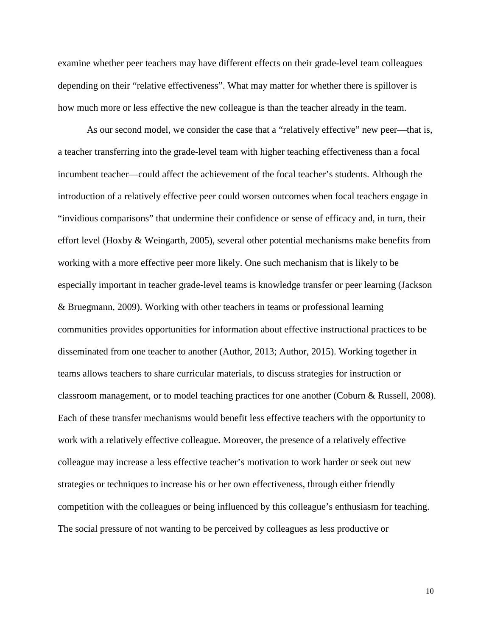examine whether peer teachers may have different effects on their grade-level team colleagues depending on their "relative effectiveness". What may matter for whether there is spillover is how much more or less effective the new colleague is than the teacher already in the team.

As our second model, we consider the case that a "relatively effective" new peer—that is, a teacher transferring into the grade-level team with higher teaching effectiveness than a focal incumbent teacher—could affect the achievement of the focal teacher's students. Although the introduction of a relatively effective peer could worsen outcomes when focal teachers engage in "invidious comparisons" that undermine their confidence or sense of efficacy and, in turn, their effort level (Hoxby  $\&$  Weingarth, 2005), several other potential mechanisms make benefits from working with a more effective peer more likely. One such mechanism that is likely to be especially important in teacher grade-level teams is knowledge transfer or peer learning (Jackson & Bruegmann, 2009). Working with other teachers in teams or professional learning communities provides opportunities for information about effective instructional practices to be disseminated from one teacher to another (Author, 2013; Author, 2015). Working together in teams allows teachers to share curricular materials, to discuss strategies for instruction or classroom management, or to model teaching practices for one another (Coburn & Russell, 2008). Each of these transfer mechanisms would benefit less effective teachers with the opportunity to work with a relatively effective colleague. Moreover, the presence of a relatively effective colleague may increase a less effective teacher's motivation to work harder or seek out new strategies or techniques to increase his or her own effectiveness, through either friendly competition with the colleagues or being influenced by this colleague's enthusiasm for teaching. The social pressure of not wanting to be perceived by colleagues as less productive or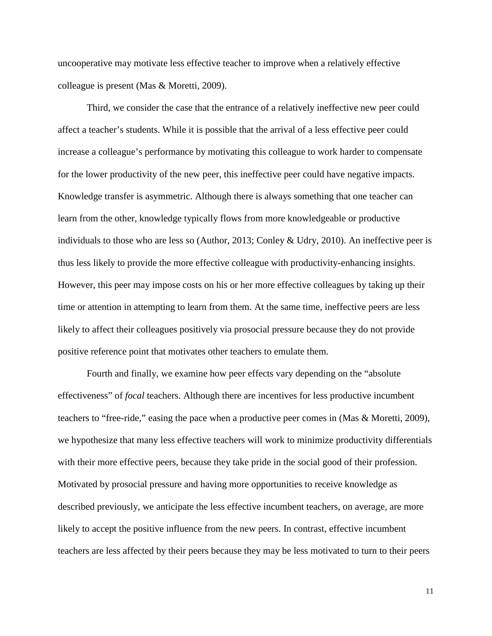uncooperative may motivate less effective teacher to improve when a relatively effective colleague is present (Mas & Moretti, 2009).

Third, we consider the case that the entrance of a relatively ineffective new peer could affect a teacher's students. While it is possible that the arrival of a less effective peer could increase a colleague's performance by motivating this colleague to work harder to compensate for the lower productivity of the new peer, this ineffective peer could have negative impacts. Knowledge transfer is asymmetric. Although there is always something that one teacher can learn from the other, knowledge typically flows from more knowledgeable or productive individuals to those who are less so (Author, 2013; Conley & Udry, 2010). An ineffective peer is thus less likely to provide the more effective colleague with productivity-enhancing insights. However, this peer may impose costs on his or her more effective colleagues by taking up their time or attention in attempting to learn from them. At the same time, ineffective peers are less likely to affect their colleagues positively via prosocial pressure because they do not provide positive reference point that motivates other teachers to emulate them.

Fourth and finally, we examine how peer effects vary depending on the "absolute effectiveness" of *focal* teachers. Although there are incentives for less productive incumbent teachers to "free-ride," easing the pace when a productive peer comes in (Mas & Moretti, 2009), we hypothesize that many less effective teachers will work to minimize productivity differentials with their more effective peers, because they take pride in the social good of their profession. Motivated by prosocial pressure and having more opportunities to receive knowledge as described previously, we anticipate the less effective incumbent teachers, on average, are more likely to accept the positive influence from the new peers. In contrast, effective incumbent teachers are less affected by their peers because they may be less motivated to turn to their peers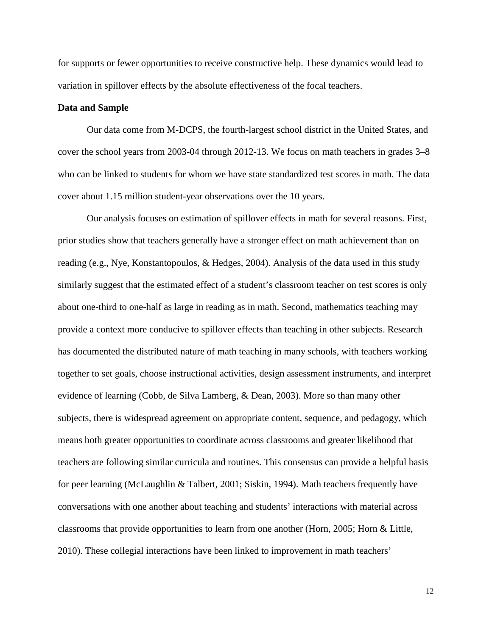for supports or fewer opportunities to receive constructive help. These dynamics would lead to variation in spillover effects by the absolute effectiveness of the focal teachers.

#### **Data and Sample**

Our data come from M-DCPS, the fourth-largest school district in the United States, and cover the school years from 2003-04 through 2012-13. We focus on math teachers in grades 3–8 who can be linked to students for whom we have state standardized test scores in math. The data cover about 1.15 million student-year observations over the 10 years.

Our analysis focuses on estimation of spillover effects in math for several reasons. First, prior studies show that teachers generally have a stronger effect on math achievement than on reading (e.g., Nye, Konstantopoulos, & Hedges, 2004). Analysis of the data used in this study similarly suggest that the estimated effect of a student's classroom teacher on test scores is only about one-third to one-half as large in reading as in math. Second, mathematics teaching may provide a context more conducive to spillover effects than teaching in other subjects. Research has documented the distributed nature of math teaching in many schools, with teachers working together to set goals, choose instructional activities, design assessment instruments, and interpret evidence of learning (Cobb, de Silva Lamberg, & Dean, 2003). More so than many other subjects, there is widespread agreement on appropriate content, sequence, and pedagogy, which means both greater opportunities to coordinate across classrooms and greater likelihood that teachers are following similar curricula and routines. This consensus can provide a helpful basis for peer learning (McLaughlin & Talbert, 2001; Siskin, 1994). Math teachers frequently have conversations with one another about teaching and students' interactions with material across classrooms that provide opportunities to learn from one another (Horn, 2005; Horn & Little, 2010). These collegial interactions have been linked to improvement in math teachers'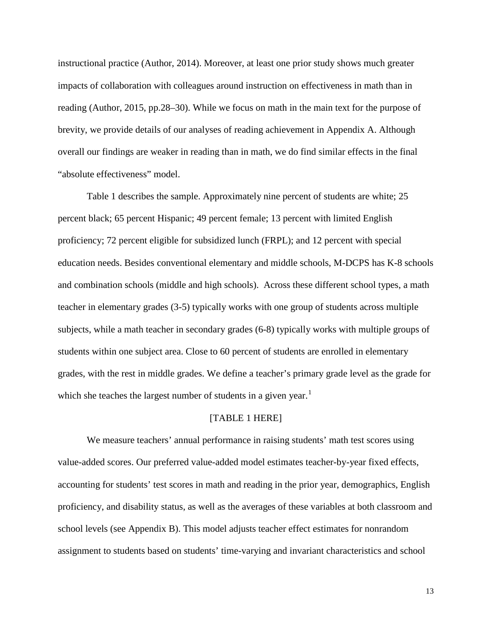instructional practice (Author, 2014). Moreover, at least one prior study shows much greater impacts of collaboration with colleagues around instruction on effectiveness in math than in reading (Author, 2015, pp.28–30). While we focus on math in the main text for the purpose of brevity, we provide details of our analyses of reading achievement in Appendix A. Although overall our findings are weaker in reading than in math, we do find similar effects in the final "absolute effectiveness" model.

Table 1 describes the sample. Approximately nine percent of students are white; 25 percent black; 65 percent Hispanic; 49 percent female; 13 percent with limited English proficiency; 72 percent eligible for subsidized lunch (FRPL); and 12 percent with special education needs. Besides conventional elementary and middle schools, M-DCPS has K-8 schools and combination schools (middle and high schools). Across these different school types, a math teacher in elementary grades (3-5) typically works with one group of students across multiple subjects, while a math teacher in secondary grades (6-8) typically works with multiple groups of students within one subject area. Close to 60 percent of students are enrolled in elementary grades, with the rest in middle grades. We define a teacher's primary grade level as the grade for which she teaches the largest number of students in a given year.<sup>[1](#page-33-0)</sup>

#### [TABLE 1 HERE]

We measure teachers' annual performance in raising students' math test scores using value-added scores. Our preferred value-added model estimates teacher-by-year fixed effects, accounting for students' test scores in math and reading in the prior year, demographics, English proficiency, and disability status, as well as the averages of these variables at both classroom and school levels (see Appendix B). This model adjusts teacher effect estimates for nonrandom assignment to students based on students' time-varying and invariant characteristics and school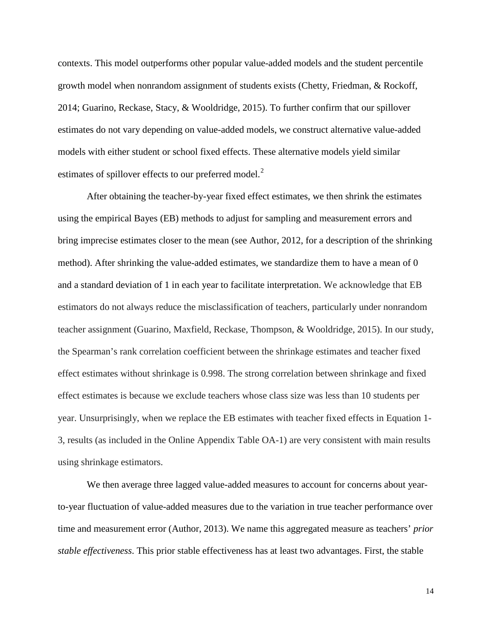contexts. This model outperforms other popular value-added models and the student percentile growth model when nonrandom assignment of students exists (Chetty, Friedman, & Rockoff, 2014; Guarino, Reckase, Stacy, & Wooldridge, 2015). To further confirm that our spillover estimates do not vary depending on value-added models, we construct alternative value-added models with either student or school fixed effects. These alternative models yield similar estimates of spillover effects to our preferred model.<sup>[2](#page-33-1)</sup>

After obtaining the teacher-by-year fixed effect estimates, we then shrink the estimates using the empirical Bayes (EB) methods to adjust for sampling and measurement errors and bring imprecise estimates closer to the mean (see Author, 2012, for a description of the shrinking method). After shrinking the value-added estimates, we standardize them to have a mean of 0 and a standard deviation of 1 in each year to facilitate interpretation. We acknowledge that EB estimators do not always reduce the misclassification of teachers, particularly under nonrandom teacher assignment (Guarino, Maxfield, Reckase, Thompson, & Wooldridge, 2015). In our study, the Spearman's rank correlation coefficient between the shrinkage estimates and teacher fixed effect estimates without shrinkage is 0.998. The strong correlation between shrinkage and fixed effect estimates is because we exclude teachers whose class size was less than 10 students per year. Unsurprisingly, when we replace the EB estimates with teacher fixed effects in Equation 1- 3, results (as included in the Online Appendix Table OA-1) are very consistent with main results using shrinkage estimators.

We then average three lagged value-added measures to account for concerns about yearto-year fluctuation of value-added measures due to the variation in true teacher performance over time and measurement error (Author, 2013). We name this aggregated measure as teachers' *prior stable effectiveness*. This prior stable effectiveness has at least two advantages. First, the stable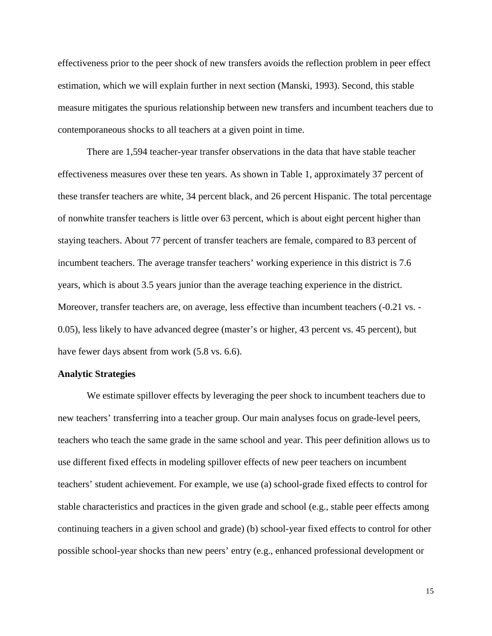effectiveness prior to the peer shock of new transfers avoids the reflection problem in peer effect estimation, which we will explain further in next section (Manski, 1993). Second, this stable measure mitigates the spurious relationship between new transfers and incumbent teachers due to contemporaneous shocks to all teachers at a given point in time.

There are 1,594 teacher-year transfer observations in the data that have stable teacher effectiveness measures over these ten years. As shown in Table 1, approximately 37 percent of these transfer teachers are white, 34 percent black, and 26 percent Hispanic. The total percentage of nonwhite transfer teachers is little over 63 percent, which is about eight percent higher than staying teachers. About 77 percent of transfer teachers are female, compared to 83 percent of incumbent teachers. The average transfer teachers' working experience in this district is 7.6 years, which is about 3.5 years junior than the average teaching experience in the district. Moreover, transfer teachers are, on average, less effective than incumbent teachers (-0.21 vs. - 0.05), less likely to have advanced degree (master's or higher, 43 percent vs. 45 percent), but have fewer days absent from work (5.8 vs. 6.6).

#### **Analytic Strategies**

We estimate spillover effects by leveraging the peer shock to incumbent teachers due to new teachers' transferring into a teacher group. Our main analyses focus on grade-level peers, teachers who teach the same grade in the same school and year. This peer definition allows us to use different fixed effects in modeling spillover effects of new peer teachers on incumbent teachers' student achievement. For example, we use (a) school-grade fixed effects to control for stable characteristics and practices in the given grade and school (e.g., stable peer effects among continuing teachers in a given school and grade) (b) school-year fixed effects to control for other possible school-year shocks than new peers' entry (e.g., enhanced professional development or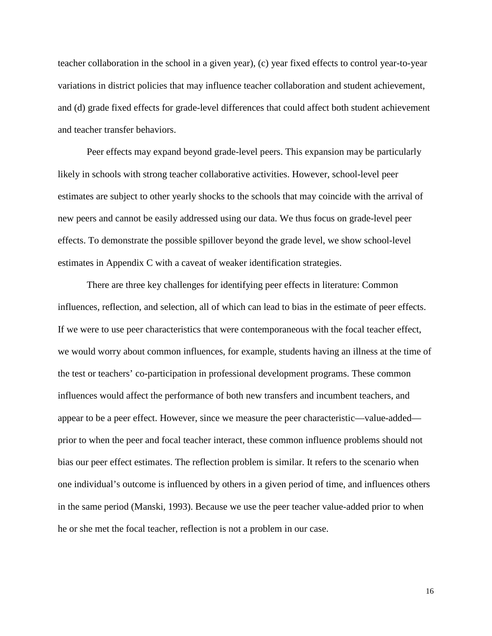teacher collaboration in the school in a given year), (c) year fixed effects to control year-to-year variations in district policies that may influence teacher collaboration and student achievement, and (d) grade fixed effects for grade-level differences that could affect both student achievement and teacher transfer behaviors.

Peer effects may expand beyond grade-level peers. This expansion may be particularly likely in schools with strong teacher collaborative activities. However, school-level peer estimates are subject to other yearly shocks to the schools that may coincide with the arrival of new peers and cannot be easily addressed using our data. We thus focus on grade-level peer effects. To demonstrate the possible spillover beyond the grade level, we show school-level estimates in Appendix C with a caveat of weaker identification strategies.

There are three key challenges for identifying peer effects in literature: Common influences, reflection, and selection, all of which can lead to bias in the estimate of peer effects. If we were to use peer characteristics that were contemporaneous with the focal teacher effect, we would worry about common influences, for example, students having an illness at the time of the test or teachers' co-participation in professional development programs. These common influences would affect the performance of both new transfers and incumbent teachers, and appear to be a peer effect. However, since we measure the peer characteristic—value-added prior to when the peer and focal teacher interact, these common influence problems should not bias our peer effect estimates. The reflection problem is similar. It refers to the scenario when one individual's outcome is influenced by others in a given period of time, and influences others in the same period (Manski, 1993). Because we use the peer teacher value-added prior to when he or she met the focal teacher, reflection is not a problem in our case.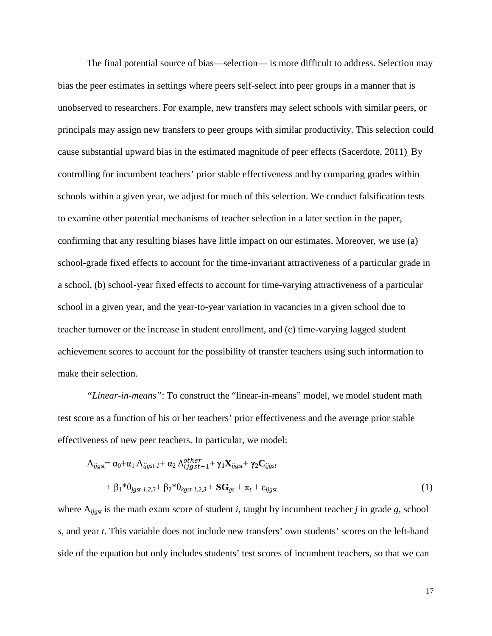The final potential source of bias—selection— is more difficult to address. Selection may bias the peer estimates in settings where peers self-select into peer groups in a manner that is unobserved to researchers. For example, new transfers may select schools with similar peers, or principals may assign new transfers to peer groups with similar productivity. This selection could cause substantial upward bias in the estimated magnitude of peer effects (Sacerdote, 2011). By controlling for incumbent teachers' prior stable effectiveness and by comparing grades within schools within a given year, we adjust for much of this selection. We conduct falsification tests to examine other potential mechanisms of teacher selection in a later section in the paper, confirming that any resulting biases have little impact on our estimates. Moreover, we use (a) school-grade fixed effects to account for the time-invariant attractiveness of a particular grade in a school, (b) school-year fixed effects to account for time-varying attractiveness of a particular school in a given year, and the year-to-year variation in vacancies in a given school due to teacher turnover or the increase in student enrollment, and (c) time-varying lagged student achievement scores to account for the possibility of transfer teachers using such information to make their selection.

*"Linear-in-means"*: To construct the "linear-in-means" model, we model student math test score as a function of his or her teachers' prior effectiveness and the average prior stable effectiveness of new peer teachers. In particular, we model:

$$
A_{ijgsf} = \alpha_0 + \alpha_1 A_{ijgsf-1} + \alpha_2 A_{ijgsf-1}^{other} + \gamma_1 X_{ijgsf} + \gamma_2 C_{ijgsf}
$$
  
+  $\beta_1 * \theta_{jgsf-1,2,3} + \beta_2 * \theta_{kgsf-1,2,3} + SG_{gs} + \pi_t + \varepsilon_{ijgsf}$  (1)

where A*ijgst* is the math exam score of student *i*, taught by incumbent teacher *j* in grade *g*, school *s*, and year *t*. This variable does not include new transfers' own students' scores on the left-hand side of the equation but only includes students' test scores of incumbent teachers, so that we can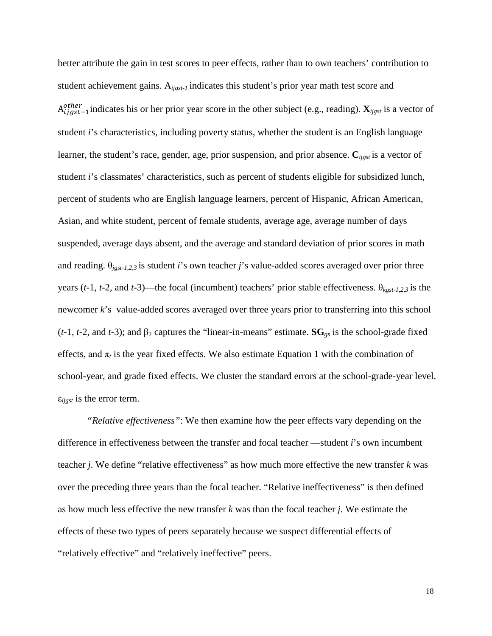better attribute the gain in test scores to peer effects, rather than to own teachers' contribution to student achievement gains. A*ijgst-1* indicates this student's prior year math test score and  $A_{ijgst-1}^{other}$  indicates his or her prior year score in the other subject (e.g., reading).  $\mathbf{X}_{ijgst}$  is a vector of student *i*'s characteristics, including poverty status, whether the student is an English language learner, the student's race, gender, age, prior suspension, and prior absence. **C***ijgst* is a vector of student *i*'s classmates' characteristics, such as percent of students eligible for subsidized lunch, percent of students who are English language learners, percent of Hispanic, African American, Asian, and white student, percent of female students, average age, average number of days suspended, average days absent, and the average and standard deviation of prior scores in math and reading.  $\theta_{\text{jgst-1,2,3}}$  is student *i*'s own teacher *j*'s value-added scores averaged over prior three years ( $t$ -1,  $t$ -2, and  $t$ -3)—the focal (incumbent) teachers' prior stable effectiveness.  $\theta_{kgst-1,2,3}$  is the newcomer *k*'s value-added scores averaged over three years prior to transferring into this school ( $t$ -1,  $t$ -2, and  $t$ -3); and  $\beta_2$  captures the "linear-in-means" estimate.  $\mathbf{SG}_{gs}$  is the school-grade fixed effects, and  $\pi_t$  is the year fixed effects. We also estimate Equation 1 with the combination of school-year, and grade fixed effects. We cluster the standard errors at the school-grade-year level. ε*ijgst* is the error term.

*"Relative effectiveness"*: We then examine how the peer effects vary depending on the difference in effectiveness between the transfer and focal teacher —student *i*'s own incumbent teacher *j*. We define "relative effectiveness" as how much more effective the new transfer *k* was over the preceding three years than the focal teacher. "Relative ineffectiveness" is then defined as how much less effective the new transfer *k* was than the focal teacher *j*. We estimate the effects of these two types of peers separately because we suspect differential effects of "relatively effective" and "relatively ineffective" peers.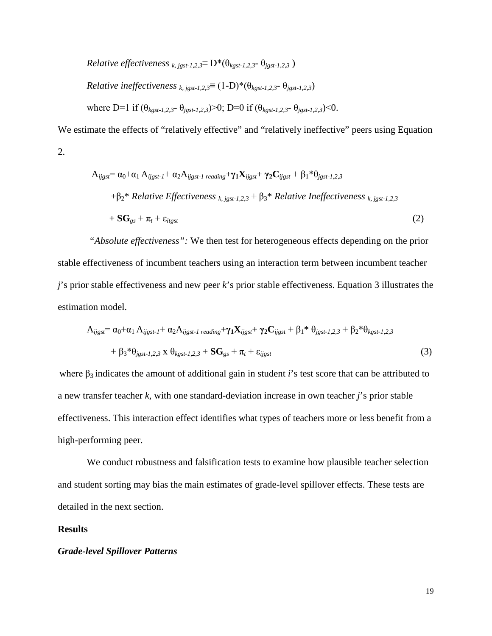*Relative effectiveness* 
$$
k
$$
,  $j_{gsst-1,2,3}$   $= D^*(\theta_{kgst-1,2,3} - \theta_{jgst-1,2,3})$   
*Relative ineffectiveness*  $k$ ,  $j_{gsst-1,2,3}$   $= (1-D)^*(\theta_{kgst-1,2,3} - \theta_{jgst-1,2,3})$   
where D=1 if  $(\theta_{kgst-1,2,3} - \theta_{jgst-1,2,3}) > 0$ ; D=0 if  $(\theta_{kgst-1,2,3} - \theta_{jgst-1,2,3}) < 0$ .

We estimate the effects of "relatively effective" and "relatively ineffective" peers using Equation 2.

$$
A_{ijgsf} = \alpha_0 + \alpha_1 A_{ijgsf-1} + \alpha_2 A_{ijgsf-1\ reading} + \gamma_1 X_{ijgsf} + \gamma_2 C_{ijgsf} + \beta_1 * \theta_{jgsf-1,2,3}
$$
  
+
$$
\beta_2 * Relative Effectiveness_{k, jgsf-1,2,3} + \beta_3 * Relative Ineffectiveness_{k, jgsf-1,2,3}
$$
  
+
$$
SG_{gs} + \pi_t + \varepsilon_{itgsf}
$$
 (2)

*"Absolute effectiveness":* We then test for heterogeneous effects depending on the prior stable effectiveness of incumbent teachers using an interaction term between incumbent teacher *j*'s prior stable effectiveness and new peer *k*'s prior stable effectiveness. Equation 3 illustrates the estimation model.

$$
A_{ijgsf} = \alpha_0 + \alpha_1 A_{ijgsf-1} + \alpha_2 A_{ijgsf-1\ reading} + \gamma_1 X_{ijgsf} + \gamma_2 C_{ijgsf} + \beta_1^* \theta_{jgsf-1,2,3} + \beta_2^* \theta_{kgst-1,2,3} + \beta_3^* \theta_{jgsf-1,2,3} \times \theta_{kgst-1,2,3} + SG_{gs} + \pi_t + \varepsilon_{ijgsf}
$$
\n(3)

where  $\beta_3$  indicates the amount of additional gain in student *i*'s test score that can be attributed to a new transfer teacher *k*, with one standard-deviation increase in own teacher *j*'s prior stable effectiveness. This interaction effect identifies what types of teachers more or less benefit from a high-performing peer.

We conduct robustness and falsification tests to examine how plausible teacher selection and student sorting may bias the main estimates of grade-level spillover effects. These tests are detailed in the next section.

#### **Results**

#### *Grade-level Spillover Patterns*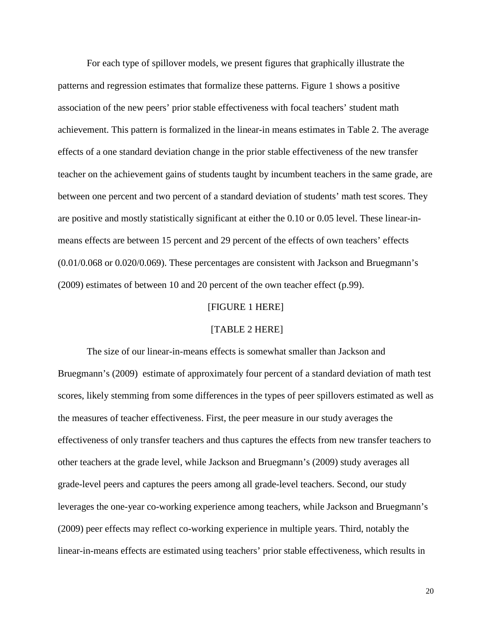For each type of spillover models, we present figures that graphically illustrate the patterns and regression estimates that formalize these patterns. Figure 1 shows a positive association of the new peers' prior stable effectiveness with focal teachers' student math achievement. This pattern is formalized in the linear-in means estimates in Table 2. The average effects of a one standard deviation change in the prior stable effectiveness of the new transfer teacher on the achievement gains of students taught by incumbent teachers in the same grade, are between one percent and two percent of a standard deviation of students' math test scores. They are positive and mostly statistically significant at either the 0.10 or 0.05 level. These linear-inmeans effects are between 15 percent and 29 percent of the effects of own teachers' effects (0.01/0.068 or 0.020/0.069). These percentages are consistent with Jackson and Bruegmann's (2009) estimates of between 10 and 20 percent of the own teacher effect (p.99).

#### [FIGURE 1 HERE]

## [TABLE 2 HERE]

The size of our linear-in-means effects is somewhat smaller than Jackson and Bruegmann's (2009) estimate of approximately four percent of a standard deviation of math test scores, likely stemming from some differences in the types of peer spillovers estimated as well as the measures of teacher effectiveness. First, the peer measure in our study averages the effectiveness of only transfer teachers and thus captures the effects from new transfer teachers to other teachers at the grade level, while Jackson and Bruegmann's (2009) study averages all grade-level peers and captures the peers among all grade-level teachers. Second, our study leverages the one-year co-working experience among teachers, while Jackson and Bruegmann's (2009) peer effects may reflect co-working experience in multiple years. Third, notably the linear-in-means effects are estimated using teachers' prior stable effectiveness, which results in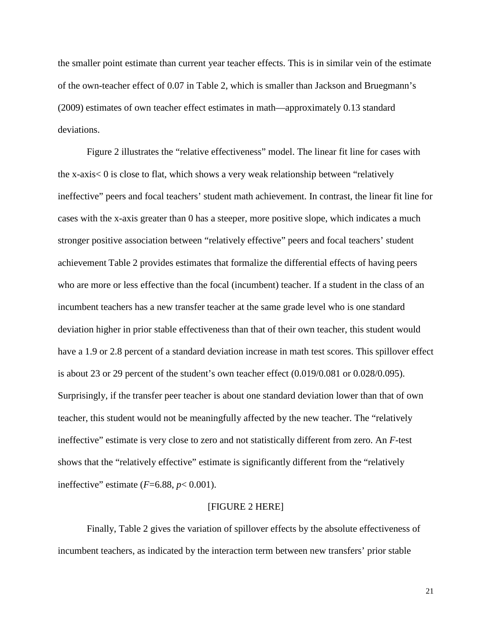the smaller point estimate than current year teacher effects. This is in similar vein of the estimate of the own-teacher effect of 0.07 in Table 2, which is smaller than Jackson and Bruegmann's (2009) estimates of own teacher effect estimates in math—approximately 0.13 standard deviations.

Figure 2 illustrates the "relative effectiveness" model. The linear fit line for cases with the x-axis< 0 is close to flat, which shows a very weak relationship between "relatively ineffective" peers and focal teachers' student math achievement. In contrast, the linear fit line for cases with the x-axis greater than 0 has a steeper, more positive slope, which indicates a much stronger positive association between "relatively effective" peers and focal teachers' student achievement Table 2 provides estimates that formalize the differential effects of having peers who are more or less effective than the focal (incumbent) teacher. If a student in the class of an incumbent teachers has a new transfer teacher at the same grade level who is one standard deviation higher in prior stable effectiveness than that of their own teacher, this student would have a 1.9 or 2.8 percent of a standard deviation increase in math test scores. This spillover effect is about 23 or 29 percent of the student's own teacher effect (0.019/0.081 or 0.028/0.095). Surprisingly, if the transfer peer teacher is about one standard deviation lower than that of own teacher, this student would not be meaningfully affected by the new teacher. The "relatively ineffective" estimate is very close to zero and not statistically different from zero. An *F*-test shows that the "relatively effective" estimate is significantly different from the "relatively ineffective" estimate  $(F=6.88, p<0.001)$ .

#### [FIGURE 2 HERE]

Finally, Table 2 gives the variation of spillover effects by the absolute effectiveness of incumbent teachers, as indicated by the interaction term between new transfers' prior stable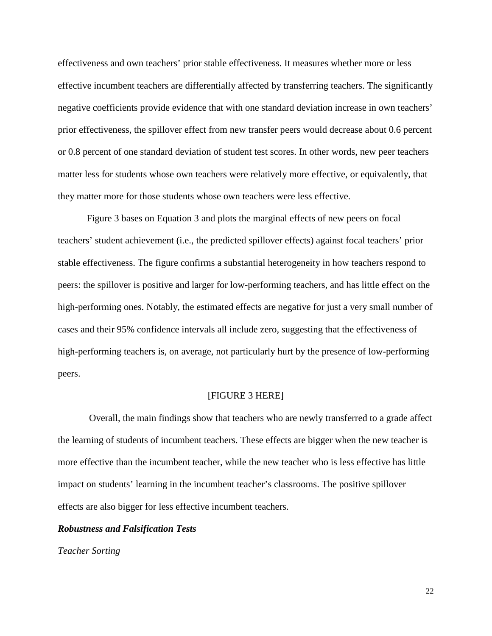effectiveness and own teachers' prior stable effectiveness. It measures whether more or less effective incumbent teachers are differentially affected by transferring teachers. The significantly negative coefficients provide evidence that with one standard deviation increase in own teachers' prior effectiveness, the spillover effect from new transfer peers would decrease about 0.6 percent or 0.8 percent of one standard deviation of student test scores. In other words, new peer teachers matter less for students whose own teachers were relatively more effective, or equivalently, that they matter more for those students whose own teachers were less effective.

Figure 3 bases on Equation 3 and plots the marginal effects of new peers on focal teachers' student achievement (i.e., the predicted spillover effects) against focal teachers' prior stable effectiveness. The figure confirms a substantial heterogeneity in how teachers respond to peers: the spillover is positive and larger for low-performing teachers, and has little effect on the high-performing ones. Notably, the estimated effects are negative for just a very small number of cases and their 95% confidence intervals all include zero, suggesting that the effectiveness of high-performing teachers is, on average, not particularly hurt by the presence of low-performing peers.

## [FIGURE 3 HERE]

Overall, the main findings show that teachers who are newly transferred to a grade affect the learning of students of incumbent teachers. These effects are bigger when the new teacher is more effective than the incumbent teacher, while the new teacher who is less effective has little impact on students' learning in the incumbent teacher's classrooms. The positive spillover effects are also bigger for less effective incumbent teachers.

### *Robustness and Falsification Tests*

*Teacher Sorting*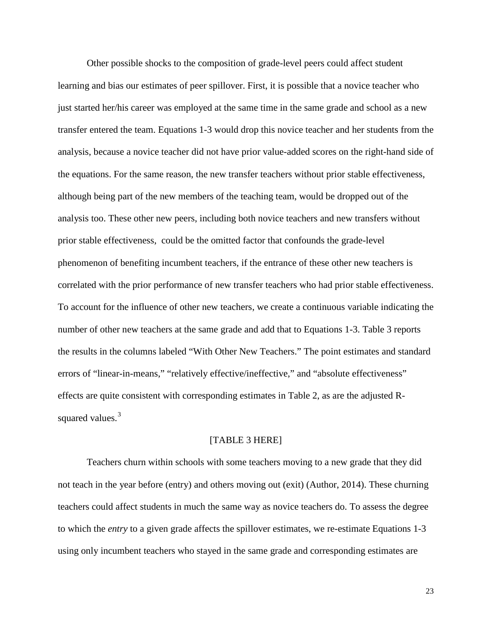Other possible shocks to the composition of grade-level peers could affect student learning and bias our estimates of peer spillover. First, it is possible that a novice teacher who just started her/his career was employed at the same time in the same grade and school as a new transfer entered the team. Equations 1-3 would drop this novice teacher and her students from the analysis, because a novice teacher did not have prior value-added scores on the right-hand side of the equations. For the same reason, the new transfer teachers without prior stable effectiveness, although being part of the new members of the teaching team, would be dropped out of the analysis too. These other new peers, including both novice teachers and new transfers without prior stable effectiveness, could be the omitted factor that confounds the grade-level phenomenon of benefiting incumbent teachers, if the entrance of these other new teachers is correlated with the prior performance of new transfer teachers who had prior stable effectiveness. To account for the influence of other new teachers, we create a continuous variable indicating the number of other new teachers at the same grade and add that to Equations 1-3. Table 3 reports the results in the columns labeled "With Other New Teachers." The point estimates and standard errors of "linear-in-means," "relatively effective/ineffective," and "absolute effectiveness" effects are quite consistent with corresponding estimates in Table 2, as are the adjusted R-squared values.<sup>[3](#page-33-2)</sup>

# [TABLE 3 HERE]

Teachers churn within schools with some teachers moving to a new grade that they did not teach in the year before (entry) and others moving out (exit) (Author, 2014). These churning teachers could affect students in much the same way as novice teachers do. To assess the degree to which the *entry* to a given grade affects the spillover estimates, we re-estimate Equations 1-3 using only incumbent teachers who stayed in the same grade and corresponding estimates are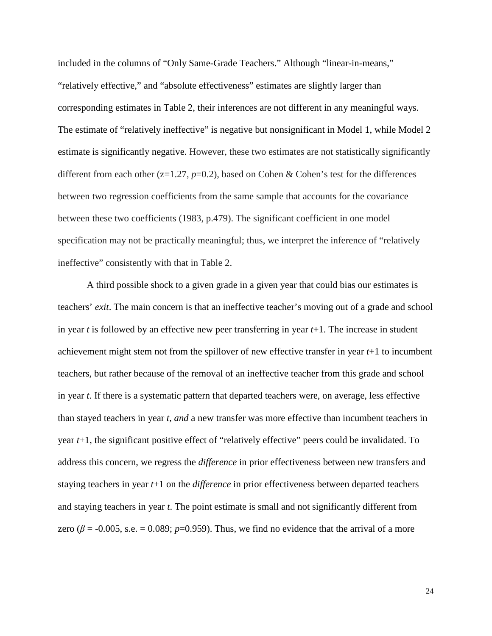included in the columns of "Only Same-Grade Teachers." Although "linear-in-means," "relatively effective," and "absolute effectiveness" estimates are slightly larger than corresponding estimates in Table 2, their inferences are not different in any meaningful ways. The estimate of "relatively ineffective" is negative but nonsignificant in Model 1, while Model 2 estimate is significantly negative. However, these two estimates are not statistically significantly different from each other (z=1.27, *p*=0.2), based on Cohen & Cohen's test for the differences between two regression coefficients from the same sample that accounts for the covariance between these two coefficients (1983, p.479). The significant coefficient in one model specification may not be practically meaningful; thus, we interpret the inference of "relatively ineffective" consistently with that in Table 2.

A third possible shock to a given grade in a given year that could bias our estimates is teachers' *exit*. The main concern is that an ineffective teacher's moving out of a grade and school in year *t* is followed by an effective new peer transferring in year *t*+1. The increase in student achievement might stem not from the spillover of new effective transfer in year *t*+1 to incumbent teachers, but rather because of the removal of an ineffective teacher from this grade and school in year *t*. If there is a systematic pattern that departed teachers were, on average, less effective than stayed teachers in year *t*, *and* a new transfer was more effective than incumbent teachers in year *t*+1, the significant positive effect of "relatively effective" peers could be invalidated. To address this concern, we regress the *difference* in prior effectiveness between new transfers and staying teachers in year *t*+1 on the *difference* in prior effectiveness between departed teachers and staying teachers in year *t*. The point estimate is small and not significantly different from zero ( $\beta$  = -0.005, s.e. = 0.089;  $p$ =0.959). Thus, we find no evidence that the arrival of a more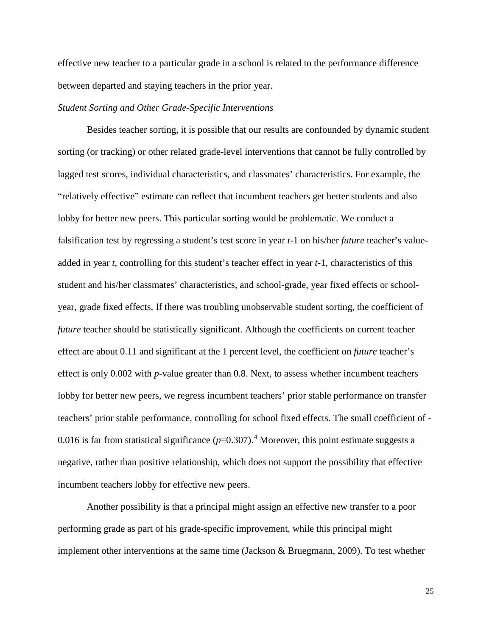effective new teacher to a particular grade in a school is related to the performance difference between departed and staying teachers in the prior year.

### *Student Sorting and Other Grade-Specific Interventions*

Besides teacher sorting, it is possible that our results are confounded by dynamic student sorting (or tracking) or other related grade-level interventions that cannot be fully controlled by lagged test scores, individual characteristics, and classmates' characteristics. For example, the "relatively effective" estimate can reflect that incumbent teachers get better students and also lobby for better new peers. This particular sorting would be problematic. We conduct a falsification test by regressing a student's test score in year *t*-1 on his/her *future* teacher's valueadded in year *t*, controlling for this student's teacher effect in year *t*-1, characteristics of this student and his/her classmates' characteristics, and school-grade, year fixed effects or schoolyear, grade fixed effects. If there was troubling unobservable student sorting, the coefficient of *future* teacher should be statistically significant. Although the coefficients on current teacher effect are about 0.11 and significant at the 1 percent level, the coefficient on *future* teacher's effect is only 0.002 with *p*-value greater than 0.8. Next, to assess whether incumbent teachers lobby for better new peers, we regress incumbent teachers' prior stable performance on transfer teachers' prior stable performance, controlling for school fixed effects. The small coefficient of - 0.016 is far from statistical significance  $(p=0.307)$ .<sup>[4](#page-33-3)</sup> Moreover, this point estimate suggests a negative, rather than positive relationship, which does not support the possibility that effective incumbent teachers lobby for effective new peers.

Another possibility is that a principal might assign an effective new transfer to a poor performing grade as part of his grade-specific improvement, while this principal might implement other interventions at the same time (Jackson & Bruegmann, 2009). To test whether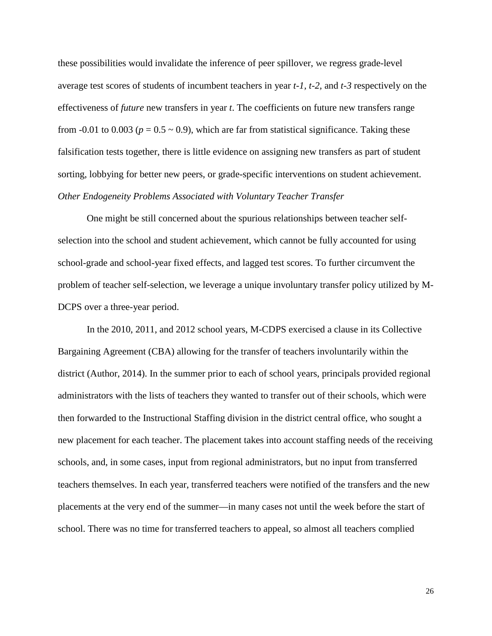these possibilities would invalidate the inference of peer spillover, we regress grade-level average test scores of students of incumbent teachers in year *t*-*1, t-2,* and *t-3* respectively on the effectiveness of *future* new transfers in year *t*. The coefficients on future new transfers range from -0.01 to 0.003 ( $p = 0.5 \sim 0.9$ ), which are far from statistical significance. Taking these falsification tests together, there is little evidence on assigning new transfers as part of student sorting, lobbying for better new peers, or grade-specific interventions on student achievement. *Other Endogeneity Problems Associated with Voluntary Teacher Transfer*

One might be still concerned about the spurious relationships between teacher selfselection into the school and student achievement, which cannot be fully accounted for using school-grade and school-year fixed effects, and lagged test scores. To further circumvent the problem of teacher self-selection, we leverage a unique involuntary transfer policy utilized by M-DCPS over a three-year period.

In the 2010, 2011, and 2012 school years, M-CDPS exercised a clause in its Collective Bargaining Agreement (CBA) allowing for the transfer of teachers involuntarily within the district (Author, 2014). In the summer prior to each of school years, principals provided regional administrators with the lists of teachers they wanted to transfer out of their schools, which were then forwarded to the Instructional Staffing division in the district central office, who sought a new placement for each teacher. The placement takes into account staffing needs of the receiving schools, and, in some cases, input from regional administrators, but no input from transferred teachers themselves. In each year, transferred teachers were notified of the transfers and the new placements at the very end of the summer—in many cases not until the week before the start of school. There was no time for transferred teachers to appeal, so almost all teachers complied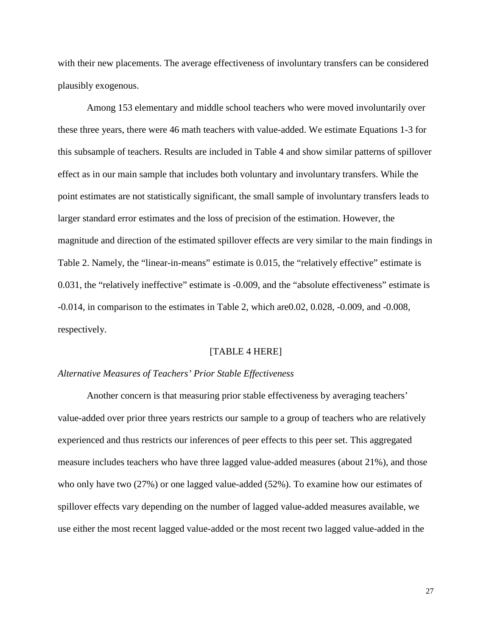with their new placements. The average effectiveness of involuntary transfers can be considered plausibly exogenous.

Among 153 elementary and middle school teachers who were moved involuntarily over these three years, there were 46 math teachers with value-added. We estimate Equations 1-3 for this subsample of teachers. Results are included in Table 4 and show similar patterns of spillover effect as in our main sample that includes both voluntary and involuntary transfers. While the point estimates are not statistically significant, the small sample of involuntary transfers leads to larger standard error estimates and the loss of precision of the estimation. However, the magnitude and direction of the estimated spillover effects are very similar to the main findings in Table 2. Namely, the "linear-in-means" estimate is 0.015, the "relatively effective" estimate is 0.031, the "relatively ineffective" estimate is -0.009, and the "absolute effectiveness" estimate is -0.014, in comparison to the estimates in Table 2, which are0.02, 0.028, -0.009, and -0.008, respectively.

#### [TABLE 4 HERE]

#### *Alternative Measures of Teachers' Prior Stable Effectiveness*

Another concern is that measuring prior stable effectiveness by averaging teachers' value-added over prior three years restricts our sample to a group of teachers who are relatively experienced and thus restricts our inferences of peer effects to this peer set. This aggregated measure includes teachers who have three lagged value-added measures (about 21%), and those who only have two (27%) or one lagged value-added (52%). To examine how our estimates of spillover effects vary depending on the number of lagged value-added measures available, we use either the most recent lagged value-added or the most recent two lagged value-added in the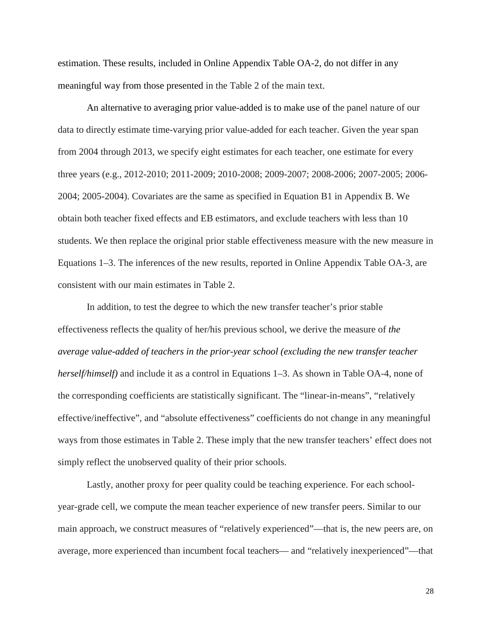estimation. These results, included in Online Appendix Table OA-2, do not differ in any meaningful way from those presented in the Table 2 of the main text.

An alternative to averaging prior value-added is to make use of the panel nature of our data to directly estimate time-varying prior value-added for each teacher. Given the year span from 2004 through 2013, we specify eight estimates for each teacher, one estimate for every three years (e.g., 2012-2010; 2011-2009; 2010-2008; 2009-2007; 2008-2006; 2007-2005; 2006- 2004; 2005-2004). Covariates are the same as specified in Equation B1 in Appendix B. We obtain both teacher fixed effects and EB estimators, and exclude teachers with less than 10 students. We then replace the original prior stable effectiveness measure with the new measure in Equations 1–3. The inferences of the new results, reported in Online Appendix Table OA-3, are consistent with our main estimates in Table 2.

In addition, to test the degree to which the new transfer teacher's prior stable effectiveness reflects the quality of her/his previous school, we derive the measure of *the average value-added of teachers in the prior-year school (excluding the new transfer teacher herself/himself)* and include it as a control in Equations 1–3. As shown in Table OA-4, none of the corresponding coefficients are statistically significant. The "linear-in-means", "relatively effective/ineffective", and "absolute effectiveness" coefficients do not change in any meaningful ways from those estimates in Table 2. These imply that the new transfer teachers' effect does not simply reflect the unobserved quality of their prior schools.

Lastly, another proxy for peer quality could be teaching experience. For each schoolyear-grade cell, we compute the mean teacher experience of new transfer peers. Similar to our main approach, we construct measures of "relatively experienced"—that is, the new peers are, on average, more experienced than incumbent focal teachers— and "relatively inexperienced"—that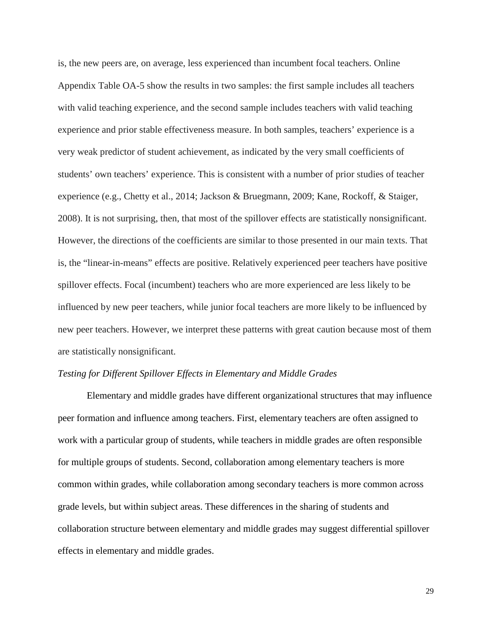is, the new peers are, on average, less experienced than incumbent focal teachers. Online Appendix Table OA-5 show the results in two samples: the first sample includes all teachers with valid teaching experience, and the second sample includes teachers with valid teaching experience and prior stable effectiveness measure. In both samples, teachers' experience is a very weak predictor of student achievement, as indicated by the very small coefficients of students' own teachers' experience. This is consistent with a number of prior studies of teacher experience (e.g., Chetty et al., 2014; Jackson & Bruegmann, 2009; Kane, Rockoff, & Staiger, 2008). It is not surprising, then, that most of the spillover effects are statistically nonsignificant. However, the directions of the coefficients are similar to those presented in our main texts. That is, the "linear-in-means" effects are positive. Relatively experienced peer teachers have positive spillover effects. Focal (incumbent) teachers who are more experienced are less likely to be influenced by new peer teachers, while junior focal teachers are more likely to be influenced by new peer teachers. However, we interpret these patterns with great caution because most of them are statistically nonsignificant.

## *Testing for Different Spillover Effects in Elementary and Middle Grades*

Elementary and middle grades have different organizational structures that may influence peer formation and influence among teachers. First, elementary teachers are often assigned to work with a particular group of students, while teachers in middle grades are often responsible for multiple groups of students. Second, collaboration among elementary teachers is more common within grades, while collaboration among secondary teachers is more common across grade levels, but within subject areas. These differences in the sharing of students and collaboration structure between elementary and middle grades may suggest differential spillover effects in elementary and middle grades.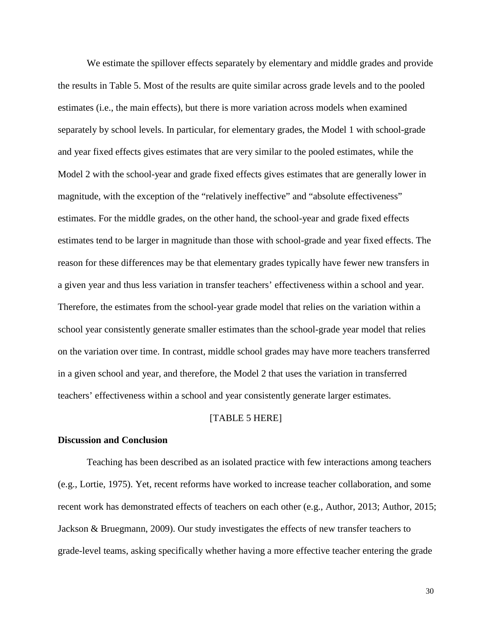We estimate the spillover effects separately by elementary and middle grades and provide the results in Table 5. Most of the results are quite similar across grade levels and to the pooled estimates (i.e., the main effects), but there is more variation across models when examined separately by school levels. In particular, for elementary grades, the Model 1 with school-grade and year fixed effects gives estimates that are very similar to the pooled estimates, while the Model 2 with the school-year and grade fixed effects gives estimates that are generally lower in magnitude, with the exception of the "relatively ineffective" and "absolute effectiveness" estimates. For the middle grades, on the other hand, the school-year and grade fixed effects estimates tend to be larger in magnitude than those with school-grade and year fixed effects. The reason for these differences may be that elementary grades typically have fewer new transfers in a given year and thus less variation in transfer teachers' effectiveness within a school and year. Therefore, the estimates from the school-year grade model that relies on the variation within a school year consistently generate smaller estimates than the school-grade year model that relies on the variation over time. In contrast, middle school grades may have more teachers transferred in a given school and year, and therefore, the Model 2 that uses the variation in transferred teachers' effectiveness within a school and year consistently generate larger estimates.

#### [TABLE 5 HERE]

#### **Discussion and Conclusion**

Teaching has been described as an isolated practice with few interactions among teachers (e.g., Lortie, 1975). Yet, recent reforms have worked to increase teacher collaboration, and some recent work has demonstrated effects of teachers on each other (e.g., Author, 2013; Author, 2015; Jackson & Bruegmann, 2009). Our study investigates the effects of new transfer teachers to grade-level teams, asking specifically whether having a more effective teacher entering the grade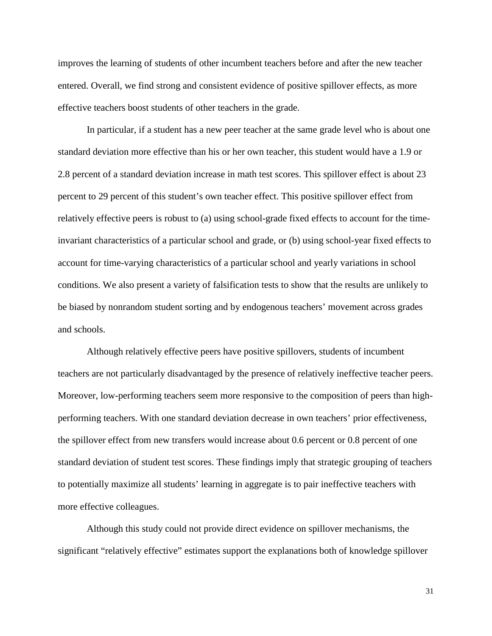improves the learning of students of other incumbent teachers before and after the new teacher entered. Overall, we find strong and consistent evidence of positive spillover effects, as more effective teachers boost students of other teachers in the grade.

In particular, if a student has a new peer teacher at the same grade level who is about one standard deviation more effective than his or her own teacher, this student would have a 1.9 or 2.8 percent of a standard deviation increase in math test scores. This spillover effect is about 23 percent to 29 percent of this student's own teacher effect. This positive spillover effect from relatively effective peers is robust to (a) using school-grade fixed effects to account for the timeinvariant characteristics of a particular school and grade, or (b) using school-year fixed effects to account for time-varying characteristics of a particular school and yearly variations in school conditions. We also present a variety of falsification tests to show that the results are unlikely to be biased by nonrandom student sorting and by endogenous teachers' movement across grades and schools.

Although relatively effective peers have positive spillovers, students of incumbent teachers are not particularly disadvantaged by the presence of relatively ineffective teacher peers. Moreover, low-performing teachers seem more responsive to the composition of peers than highperforming teachers. With one standard deviation decrease in own teachers' prior effectiveness, the spillover effect from new transfers would increase about 0.6 percent or 0.8 percent of one standard deviation of student test scores. These findings imply that strategic grouping of teachers to potentially maximize all students' learning in aggregate is to pair ineffective teachers with more effective colleagues.

Although this study could not provide direct evidence on spillover mechanisms, the significant "relatively effective" estimates support the explanations both of knowledge spillover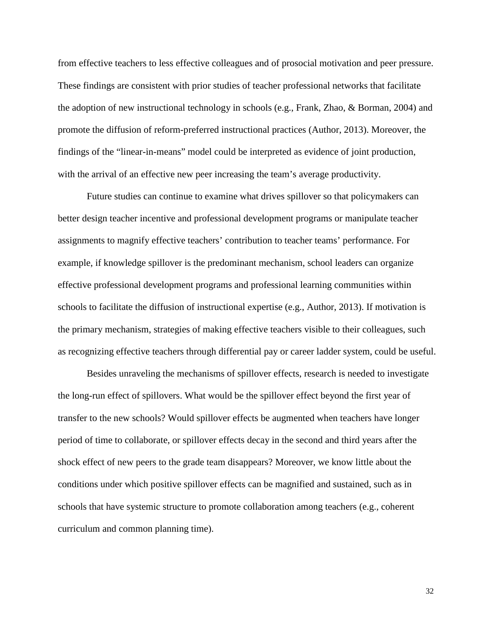from effective teachers to less effective colleagues and of prosocial motivation and peer pressure. These findings are consistent with prior studies of teacher professional networks that facilitate the adoption of new instructional technology in schools (e.g., Frank, Zhao, & Borman, 2004) and promote the diffusion of reform-preferred instructional practices (Author, 2013). Moreover, the findings of the "linear-in-means" model could be interpreted as evidence of joint production, with the arrival of an effective new peer increasing the team's average productivity.

Future studies can continue to examine what drives spillover so that policymakers can better design teacher incentive and professional development programs or manipulate teacher assignments to magnify effective teachers' contribution to teacher teams' performance. For example, if knowledge spillover is the predominant mechanism, school leaders can organize effective professional development programs and professional learning communities within schools to facilitate the diffusion of instructional expertise (e.g., Author, 2013). If motivation is the primary mechanism, strategies of making effective teachers visible to their colleagues, such as recognizing effective teachers through differential pay or career ladder system, could be useful.

Besides unraveling the mechanisms of spillover effects, research is needed to investigate the long-run effect of spillovers. What would be the spillover effect beyond the first year of transfer to the new schools? Would spillover effects be augmented when teachers have longer period of time to collaborate, or spillover effects decay in the second and third years after the shock effect of new peers to the grade team disappears? Moreover, we know little about the conditions under which positive spillover effects can be magnified and sustained, such as in schools that have systemic structure to promote collaboration among teachers (e.g., coherent curriculum and common planning time).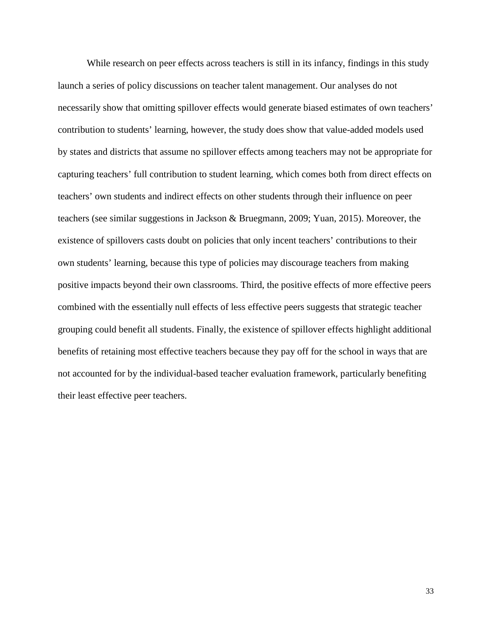While research on peer effects across teachers is still in its infancy, findings in this study launch a series of policy discussions on teacher talent management. Our analyses do not necessarily show that omitting spillover effects would generate biased estimates of own teachers' contribution to students' learning, however, the study does show that value-added models used by states and districts that assume no spillover effects among teachers may not be appropriate for capturing teachers' full contribution to student learning, which comes both from direct effects on teachers' own students and indirect effects on other students through their influence on peer teachers (see similar suggestions in Jackson & Bruegmann, 2009; Yuan, 2015). Moreover, the existence of spillovers casts doubt on policies that only incent teachers' contributions to their own students' learning, because this type of policies may discourage teachers from making positive impacts beyond their own classrooms. Third, the positive effects of more effective peers combined with the essentially null effects of less effective peers suggests that strategic teacher grouping could benefit all students. Finally, the existence of spillover effects highlight additional benefits of retaining most effective teachers because they pay off for the school in ways that are not accounted for by the individual-based teacher evaluation framework, particularly benefiting their least effective peer teachers.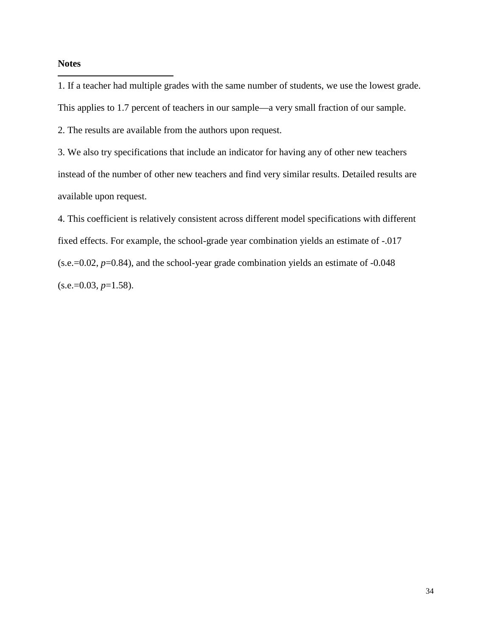## **Notes**

<span id="page-33-0"></span>1. If a teacher had multiple grades with the same number of students, we use the lowest grade. This applies to 1.7 percent of teachers in our sample—a very small fraction of our sample. i<br>I

<span id="page-33-1"></span>2. The results are available from the authors upon request.

<span id="page-33-2"></span>3. We also try specifications that include an indicator for having any of other new teachers instead of the number of other new teachers and find very similar results. Detailed results are available upon request.

<span id="page-33-3"></span>4. This coefficient is relatively consistent across different model specifications with different fixed effects. For example, the school-grade year combination yields an estimate of -.017 (s.e.=0.02, *p*=0.84), and the school-year grade combination yields an estimate of -0.048  $(s.e.=0.03, p=1.58).$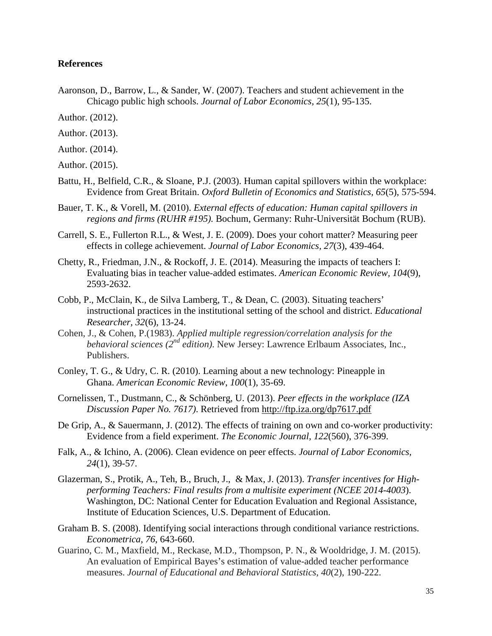## **References**

- Aaronson, D., Barrow, L., & Sander, W. (2007). Teachers and student achievement in the Chicago public high schools. *Journal of Labor Economics, 25*(1), 95-135.
- Author. (2012).
- Author. (2013).
- Author. (2014).
- Author. (2015).
- Battu, H., Belfield, C.R., & Sloane, P.J. (2003). Human capital spillovers within the workplace: Evidence from Great Britain. *Oxford Bulletin of Economics and Statistics, 65*(5), 575-594.
- Bauer, T. K., & Vorell, M. (2010). *External effects of education: Human capital spillovers in regions and firms (RUHR #195).* Bochum, Germany: Ruhr-Universität Bochum (RUB).
- Carrell, S. E., Fullerton R.L., & West, J. E. (2009). Does your cohort matter? Measuring peer effects in college achievement. *Journal of Labor Economics, 27*(3), 439-464.
- Chetty, R., Friedman, J.N., & Rockoff, J. E. (2014). Measuring the impacts of teachers I: Evaluating bias in teacher value-added estimates. *American Economic Review, 104*(9), 2593-2632.
- Cobb, P., McClain, K., de Silva Lamberg, T., & Dean, C. (2003). Situating teachers' instructional practices in the institutional setting of the school and district. *Educational Researcher, 32*(6), 13-24.
- Cohen, J., & Cohen, P.(1983). *Applied multiple regression/correlation analysis for the behavioral sciences (2nd edition)*. New Jersey: Lawrence Erlbaum Associates, Inc., Publishers.
- Conley, T. G., & Udry, C. R. (2010). Learning about a new technology: Pineapple in Ghana. *American Economic Review*, *100*(1), 35-69.
- Cornelissen, T., Dustmann, C., & Schönberg, U. (2013). *Peer effects in the workplace (IZA Discussion Paper No. 7617)*. Retrieved from<http://ftp.iza.org/dp7617.pdf>
- De Grip, A., & Sauermann, J. (2012). The effects of training on own and co-worker productivity: Evidence from a field experiment. *The Economic Journal, 122*(560), 376-399.
- Falk, A., & Ichino, A. (2006). Clean evidence on peer effects. *Journal of Labor Economics, 24*(1), 39-57.
- Glazerman, S., Protik, A., Teh, B., Bruch, J., & Max, J. (2013). *Transfer incentives for Highperforming Teachers: Final results from a multisite experiment (NCEE 2014-4003*). Washington, DC: National Center for Education Evaluation and Regional Assistance, Institute of Education Sciences, U.S. Department of Education.
- Graham B. S. (2008). Identifying social interactions through conditional variance restrictions. *Econometrica, 76*, 643-660.
- Guarino, C. M., Maxfield, M., Reckase, M.D., Thompson, P. N., & Wooldridge, J. M. (2015). An evaluation of Empirical Bayes's estimation of value-added teacher performance measures. *Journal of Educational and Behavioral Statistics, 40*(2), 190-222.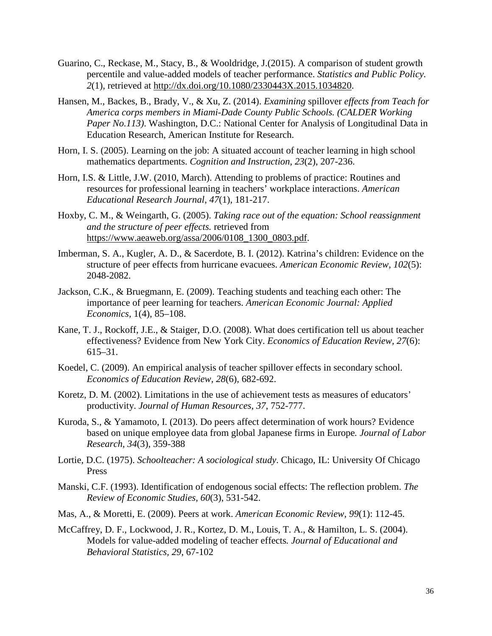- Guarino, C., Reckase, M., Stacy, B., & Wooldridge, J.(2015). A comparison of student growth percentile and value-added models of teacher performance. *Statistics and Public Policy. 2*(1), retrieved at [http://dx.doi.org/10.1080/2330443X.2015.1034820.](http://dx.doi.org/10.1080/2330443X.2015.1034820)
- Hansen, M., Backes, B., Brady, V., & Xu, Z. (2014). *Examining* spillover *effects from Teach for America corps members in Miami-Dade County Public Schools. (CALDER Working Paper No.113)*. Washington, D.C.: National Center for Analysis of Longitudinal Data in Education Research, American Institute for Research.
- Horn, I. S. (2005). Learning on the job: A situated account of teacher learning in high school mathematics departments. *Cognition and Instruction, 23*(2), 207-236.
- Horn, I.S. & Little, J.W. (2010, March). Attending to problems of practice: Routines and resources for professional learning in teachers' workplace interactions. *American Educational Research Journal*, *47*(1), 181-217.
- Hoxby, C. M., & Weingarth, G. (2005). *Taking race out of the equation: School reassignment and the structure of peer effects.* retrieved from [https://www.aeaweb.org/assa/2006/0108\\_1300\\_0803.pdf.](https://www.aeaweb.org/assa/2006/0108_1300_0803.pdf)
- Imberman, S. A., Kugler, A. D., & Sacerdote, B. I. (2012). Katrina's children: Evidence on the structure of peer effects from hurricane evacuees. *American Economic Review, 102*(5): 2048-2082.
- Jackson, C.K., & Bruegmann, E. (2009). Teaching students and teaching each other: The importance of peer learning for teachers. *American Economic Journal: Applied Economics,* 1(4), 85–108.
- Kane, T. J., Rockoff, J.E., & Staiger, D.O. (2008). What does certification tell us about teacher effectiveness? Evidence from New York City. *Economics of Education Review, 27*(6): 615–31.
- Koedel, C. (2009). An empirical analysis of teacher spillover effects in secondary school. *Economics of Education Review, 28*(6), 682-692.
- Koretz, D. M. (2002). Limitations in the use of achievement tests as measures of educators' productivity. *Journal of Human Resources, 37*, 752-777.
- Kuroda, S., & Yamamoto, I. (2013). Do peers affect determination of work hours? Evidence based on unique employee data from global Japanese firms in Europe*. Journal of Labor Research, 34*(3), 359-388
- Lortie, D.C. (1975). *Schoolteacher: A sociological study*. Chicago, IL: University Of Chicago Press
- Manski, C.F. (1993). Identification of endogenous social effects: The reflection problem. *The Review of Economic Studies, 60*(3), 531-542.
- Mas, A., & Moretti, E. (2009). Peers at work. *American Economic Review*, *99*(1): 112-45.
- McCaffrey, D. F., Lockwood, J. R., Kortez, D. M., Louis, T. A., & Hamilton, L. S. (2004). Models for value-added modeling of teacher effects*. Journal of Educational and Behavioral Statistics, 29*, 67-102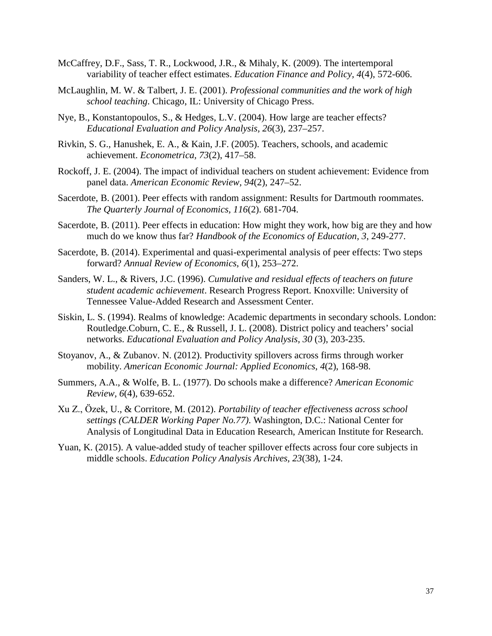- McCaffrey, D.F., Sass, T. R., Lockwood, J.R., & Mihaly, K. (2009). The intertemporal variability of teacher effect estimates. *Education Finance and Policy, 4*(4), 572-606.
- McLaughlin, M. W. & Talbert, J. E. (2001). *Professional communities and the work of high school teaching*. Chicago, IL: University of Chicago Press.
- Nye, B., Konstantopoulos, S., & Hedges, L.V. (2004). How large are teacher effects? *Educational Evaluation and Policy Analysis, 26*(3), 237–257.
- Rivkin, S. G., Hanushek, E. A., & Kain, J.F. (2005). Teachers, schools, and academic achievement. *Econometrica, 73*(2), 417–58.
- Rockoff, J. E. (2004). The impact of individual teachers on student achievement: Evidence from panel data. *American Economic Review, 94*(2), 247–52.
- Sacerdote, B. (2001). Peer effects with random assignment: Results for Dartmouth roommates. *The Quarterly Journal of Economics, 116*(2). 681-704.
- Sacerdote, B. (2011). Peer effects in education: How might they work, how big are they and how much do we know thus far? *Handbook of the Economics of Education, 3*, 249-277.
- Sacerdote, B. (2014). Experimental and quasi-experimental analysis of peer effects: Two steps forward? *Annual Review of Economics*, *6*(1), 253–272.
- Sanders, W. L., & Rivers, J.C. (1996). *Cumulative and residual effects of teachers on future student academic achievement*. Research Progress Report. Knoxville: University of Tennessee Value-Added Research and Assessment Center.
- Siskin, L. S. (1994). Realms of knowledge: Academic departments in secondary schools. London: Routledge.Coburn, C. E., & Russell, J. L. (2008). District policy and teachers' social networks. *Educational Evaluation and Policy Analysis, 30* (3), 203-235.
- Stoyanov, A., & Zubanov. N. (2012). Productivity spillovers across firms through worker mobility. *American Economic Journal: Applied Economics*, *4*(2), 168-98.
- Summers, A.A., & Wolfe, B. L. (1977). Do schools make a difference? *American Economic Review, 6*(4), 639-652.
- Xu Z., Ӧzek, U., & Corritore, M. (2012). *Portability of teacher effectiveness across school settings (CALDER Working Paper No.77)*. Washington, D.C.: National Center for Analysis of Longitudinal Data in Education Research, American Institute for Research.
- Yuan, K. (2015). A value-added study of teacher spillover effects across four core subjects in middle schools. *Education Policy Analysis Archives, 23*(38), 1-24.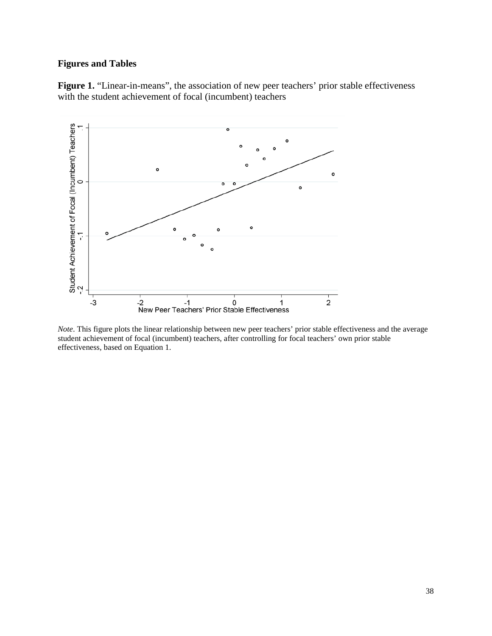# **Figures and Tables**

Figure 1. "Linear-in-means", the association of new peer teachers' prior stable effectiveness with the student achievement of focal (incumbent) teachers



*Note*. This figure plots the linear relationship between new peer teachers' prior stable effectiveness and the average student achievement of focal (incumbent) teachers, after controlling for focal teachers' own prior stable effectiveness, based on Equation 1.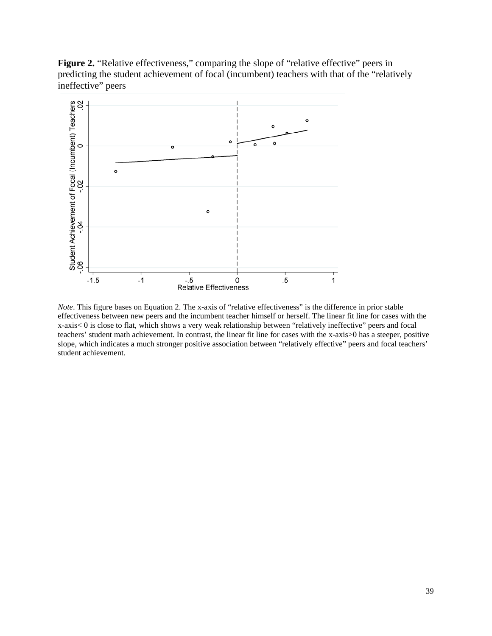Figure 2. "Relative effectiveness," comparing the slope of "relative effective" peers in predicting the student achievement of focal (incumbent) teachers with that of the "relatively ineffective" peers



*Note*. This figure bases on Equation 2. The x-axis of "relative effectiveness" is the difference in prior stable effectiveness between new peers and the incumbent teacher himself or herself. The linear fit line for cases with the x-axis< 0 is close to flat, which shows a very weak relationship between "relatively ineffective" peers and focal teachers' student math achievement. In contrast, the linear fit line for cases with the x-axis>0 has a steeper, positive slope, which indicates a much stronger positive association between "relatively effective" peers and focal teachers' student achievement.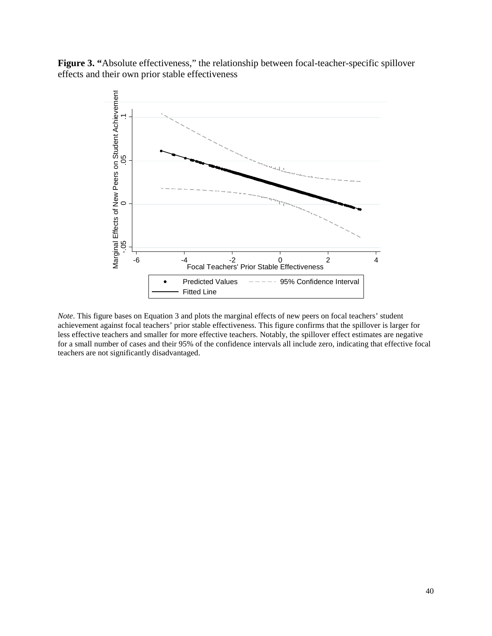Figure 3. "Absolute effectiveness," the relationship between focal-teacher-specific spillover effects and their own prior stable effectiveness



*Note*. This figure bases on Equation 3 and plots the marginal effects of new peers on focal teachers' student achievement against focal teachers' prior stable effectiveness. This figure confirms that the spillover is larger for less effective teachers and smaller for more effective teachers. Notably, the spillover effect estimates are negative for a small number of cases and their 95% of the confidence intervals all include zero, indicating that effective focal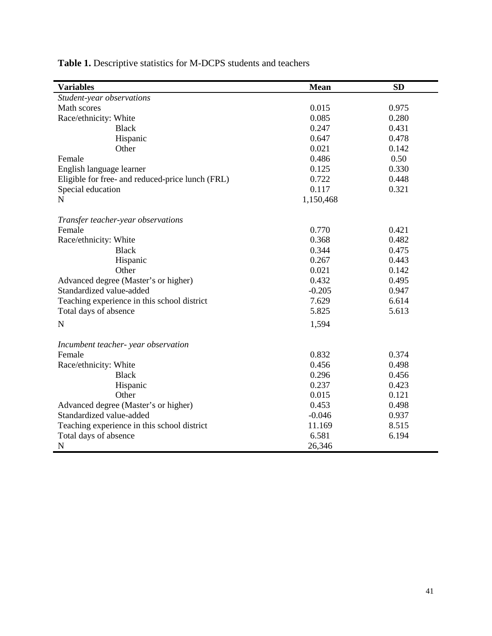| <b>Variables</b>                                 | <b>Mean</b> | <b>SD</b> |
|--------------------------------------------------|-------------|-----------|
| Student-year observations                        |             |           |
| Math scores                                      | 0.015       | 0.975     |
| Race/ethnicity: White                            | 0.085       | 0.280     |
| <b>Black</b>                                     | 0.247       | 0.431     |
| Hispanic                                         | 0.647       | 0.478     |
| Other                                            | 0.021       | 0.142     |
| Female                                           | 0.486       | 0.50      |
| English language learner                         | 0.125       | 0.330     |
| Eligible for free- and reduced-price lunch (FRL) | 0.722       | 0.448     |
| Special education                                | 0.117       | 0.321     |
| N                                                | 1,150,468   |           |
| Transfer teacher-year observations               |             |           |
| Female                                           | 0.770       | 0.421     |
| Race/ethnicity: White                            | 0.368       | 0.482     |
| <b>Black</b>                                     | 0.344       | 0.475     |
| Hispanic                                         | 0.267       | 0.443     |
| Other                                            | 0.021       | 0.142     |
| Advanced degree (Master's or higher)             | 0.432       | 0.495     |
| Standardized value-added                         | $-0.205$    | 0.947     |
| Teaching experience in this school district      | 7.629       | 6.614     |
| Total days of absence                            | 5.825       | 5.613     |
| $\mathbf N$                                      | 1,594       |           |
|                                                  |             |           |
| Incumbent teacher- year observation              |             |           |
| Female                                           | 0.832       | 0.374     |
| Race/ethnicity: White                            | 0.456       | 0.498     |
| <b>Black</b>                                     | 0.296       | 0.456     |
| Hispanic                                         | 0.237       | 0.423     |
| Other                                            | 0.015       | 0.121     |
| Advanced degree (Master's or higher)             | 0.453       | 0.498     |
| Standardized value-added                         | $-0.046$    | 0.937     |
| Teaching experience in this school district      | 11.169      | 8.515     |
| Total days of absence                            | 6.581       | 6.194     |
| N                                                | 26,346      |           |

**Table 1.** Descriptive statistics for M-DCPS students and teachers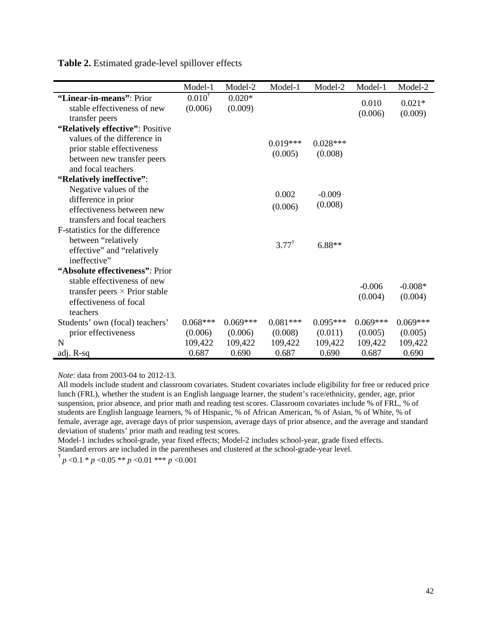|                                      | Model-1           | Model-2    | Model-1          | Model-2    | Model-1    | Model-2    |
|--------------------------------------|-------------------|------------|------------------|------------|------------|------------|
| "Linear-in-means": Prior             | $0.010^{\dagger}$ | $0.020*$   |                  |            | 0.010      | $0.021*$   |
| stable effectiveness of new          | (0.006)           | (0.009)    |                  |            | (0.006)    | (0.009)    |
| transfer peers                       |                   |            |                  |            |            |            |
| "Relatively effective": Positive     |                   |            |                  |            |            |            |
| values of the difference in          |                   |            | $0.019***$       | $0.028***$ |            |            |
| prior stable effectiveness           |                   |            | (0.005)          | (0.008)    |            |            |
| between new transfer peers           |                   |            |                  |            |            |            |
| and focal teachers                   |                   |            |                  |            |            |            |
| "Relatively ineffective":            |                   |            |                  |            |            |            |
| Negative values of the               |                   |            | 0.002            | $-0.009$   |            |            |
| difference in prior                  |                   |            |                  | (0.008)    |            |            |
| effectiveness between new            |                   |            | (0.006)          |            |            |            |
| transfers and focal teachers         |                   |            |                  |            |            |            |
| F-statistics for the difference      |                   |            |                  |            |            |            |
| between "relatively                  |                   |            | $3.77^{\dagger}$ | $6.88**$   |            |            |
| effective" and "relatively           |                   |            |                  |            |            |            |
| ineffective"                         |                   |            |                  |            |            |            |
| "Absolute effectiveness": Prior      |                   |            |                  |            |            |            |
| stable effectiveness of new          |                   |            |                  |            | $-0.006$   | $-0.008*$  |
| transfer peers $\times$ Prior stable |                   |            |                  |            | (0.004)    | (0.004)    |
| effectiveness of focal               |                   |            |                  |            |            |            |
| teachers                             |                   |            |                  |            |            |            |
| Students' own (focal) teachers'      | $0.068***$        | $0.069***$ | $0.081***$       | $0.095***$ | $0.069***$ | $0.069***$ |
| prior effectiveness                  | (0.006)           | (0.006)    | (0.008)          | (0.011)    | (0.005)    | (0.005)    |
| $\mathbf N$                          | 109,422           | 109,422    | 109,422          | 109,422    | 109,422    | 109,422    |
| adj. R-sq                            | 0.687             | 0.690      | 0.687            | 0.690      | 0.687      | 0.690      |

**Table 2.** Estimated grade-level spillover effects

*Note*: data from 2003-04 to 2012-13.

All models include student and classroom covariates. Student covariates include eligibility for free or reduced price lunch (FRL), whether the student is an English language learner, the student's race/ethnicity, gender, age, prior suspension, prior absence, and prior math and reading test scores. Classroom covariates include % of FRL, % of students are English language learners, % of Hispanic, % of African American, % of Asian, % of White, % of female, average age, average days of prior suspension, average days of prior absence, and the average and standard deviation of students' prior math and reading test scores.

Model-1 includes school-grade, year fixed effects; Model-2 includes school-year, grade fixed effects. Standard errors are included in the parentheses and clustered at the school-grade-year level.

 $\frac{1}{p}$   $p$  <0.1 \* *p* <0.05 \*\* *p* <0.01 \*\*\* *p* <0.001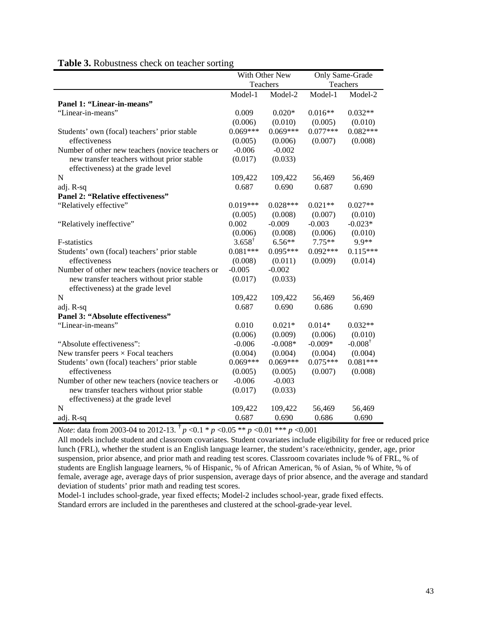|                                                                                 |                   | With Other New |            | Only Same-Grade    |
|---------------------------------------------------------------------------------|-------------------|----------------|------------|--------------------|
|                                                                                 |                   | Teachers       |            | Teachers           |
|                                                                                 | Model-1           | Model-2        | Model-1    | Model-2            |
| Panel 1: "Linear-in-means"                                                      |                   |                |            |                    |
| "Linear-in-means"                                                               | 0.009             | $0.020*$       | $0.016**$  | $0.032**$          |
|                                                                                 | (0.006)           | (0.010)        | (0.005)    | (0.010)            |
| Students' own (focal) teachers' prior stable                                    | $0.069***$        | $0.069***$     | $0.077***$ | $0.082***$         |
| effectiveness                                                                   | (0.005)           | (0.006)        | (0.007)    | (0.008)            |
| Number of other new teachers (novice teachers or                                | $-0.006$          | $-0.002$       |            |                    |
| new transfer teachers without prior stable<br>effectiveness) at the grade level | (0.017)           | (0.033)        |            |                    |
| N                                                                               | 109,422           | 109,422        | 56,469     | 56,469             |
| adj. R-sq                                                                       | 0.687             | 0.690          | 0.687      | 0.690              |
| Panel 2: "Relative effectiveness"                                               |                   |                |            |                    |
| "Relatively effective"                                                          | $0.019***$        | $0.028***$     | $0.021**$  | $0.027**$          |
|                                                                                 | (0.005)           | (0.008)        | (0.007)    | (0.010)            |
| "Relatively ineffective"                                                        | 0.002             | $-0.009$       | $-0.003$   | $-0.023*$          |
|                                                                                 | (0.006)           | (0.008)        | (0.006)    | (0.010)            |
| <b>F-statistics</b>                                                             | $3.658^{\dagger}$ | $6.56**$       | $7.75**$   | 9.9**              |
| Students' own (focal) teachers' prior stable                                    | $0.081***$        | $0.095***$     | $0.092***$ | $0.115***$         |
| effectiveness                                                                   | (0.008)           | (0.011)        | (0.009)    | (0.014)            |
| Number of other new teachers (novice teachers or                                | $-0.005$          | $-0.002$       |            |                    |
| new transfer teachers without prior stable<br>effectiveness) at the grade level | (0.017)           | (0.033)        |            |                    |
| N                                                                               | 109,422           | 109,422        | 56,469     | 56,469             |
| adj. R-sq                                                                       | 0.687             | 0.690          | 0.686      | 0.690              |
| Panel 3: "Absolute effectiveness"                                               |                   |                |            |                    |
| "Linear-in-means"                                                               | 0.010             | $0.021*$       | $0.014*$   | $0.032**$          |
|                                                                                 | (0.006)           | (0.009)        | (0.006)    | (0.010)            |
| "Absolute effectiveness":                                                       | $-0.006$          | $-0.008*$      | $-0.009*$  | $-0.008^{\dagger}$ |
| New transfer peers $\times$ Focal teachers                                      | (0.004)           | (0.004)        | (0.004)    | (0.004)            |
| Students' own (focal) teachers' prior stable                                    | $0.069***$        | $0.069***$     | $0.075***$ | $0.081***$         |
| effectiveness                                                                   | (0.005)           | (0.005)        | (0.007)    | (0.008)            |
| Number of other new teachers (novice teachers or                                | $-0.006$          | $-0.003$       |            |                    |
| new transfer teachers without prior stable                                      | (0.017)           | (0.033)        |            |                    |
| effectiveness) at the grade level                                               |                   |                |            |                    |
| N                                                                               | 109,422           | 109,422        | 56,469     | 56,469             |
| adj. R-sq                                                                       | 0.687             | 0.690          | 0.686      | 0.690              |

# **Table 3.** Robustness check on teacher sorting

*Note*: data from 2003-04 to 2012-13. † *p* <0.1 \* *p* <0.05 \*\* *p* <0.01 \*\*\* *p* <0.001

All models include student and classroom covariates. Student covariates include eligibility for free or reduced price lunch (FRL), whether the student is an English language learner, the student's race/ethnicity, gender, age, prior suspension, prior absence, and prior math and reading test scores. Classroom covariates include % of FRL, % of students are English language learners, % of Hispanic, % of African American, % of Asian, % of White, % of female, average age, average days of prior suspension, average days of prior absence, and the average and standard deviation of students' prior math and reading test scores.

Model-1 includes school-grade, year fixed effects; Model-2 includes school-year, grade fixed effects. Standard errors are included in the parentheses and clustered at the school-grade-year level.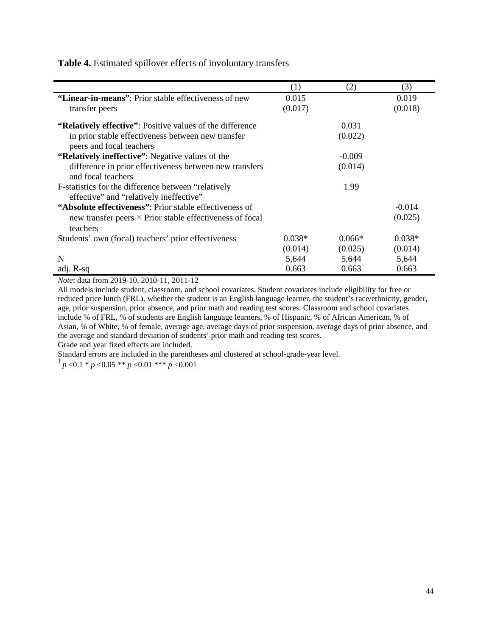|                                                                  | (1)      | (2)      | (3)      |
|------------------------------------------------------------------|----------|----------|----------|
| "Linear-in-means": Prior stable effectiveness of new             | 0.015    |          | 0.019    |
| transfer peers                                                   | (0.017)  |          | (0.018)  |
| <b>"Relatively effective":</b> Positive values of the difference |          | 0.031    |          |
| in prior stable effectiveness between new transfer               |          | (0.022)  |          |
| peers and focal teachers                                         |          |          |          |
| "Relatively ineffective": Negative values of the                 |          | $-0.009$ |          |
| difference in prior effectiveness between new transfers          |          | (0.014)  |          |
| and focal teachers                                               |          |          |          |
| F-statistics for the difference between "relatively"             |          | 1.99     |          |
| effective" and "relatively ineffective"                          |          |          |          |
| "Absolute effectiveness": Prior stable effectiveness of          |          |          | $-0.014$ |
| new transfer peers $\times$ Prior stable effectiveness of focal  |          |          | (0.025)  |
| teachers                                                         |          |          |          |
| Students' own (focal) teachers' prior effectiveness              | $0.038*$ | $0.066*$ | $0.038*$ |
|                                                                  | (0.014)  | (0.025)  | (0.014)  |
| N                                                                | 5,644    | 5,644    | 5,644    |
| adj. R-sq                                                        | 0.663    | 0.663    | 0.663    |

**Table 4.** Estimated spillover effects of involuntary transfers

*Note*: data from 2019-10, 2010-11, 2011-12

All models include student, classroom, and school covariates. Student covariates include eligibility for free or reduced price lunch (FRL), whether the student is an English language learner, the student's race/ethnicity, gender, age, prior suspension, prior absence, and prior math and reading test scores. Classroom and school covariates include % of FRL, % of students are English language learners, % of Hispanic, % of African American, % of Asian, % of White, % of female, average age, average days of prior suspension, average days of prior absence, and the average and standard deviation of students' prior math and reading test scores.

Grade and year fixed effects are included.

Standard errors are included in the parentheses and clustered at school-grade-year level.

 $\frac{1}{p}$   $p$  <0.1 \* *p* <0.05 \*\* *p* <0.01 \*\*\* *p* <0.001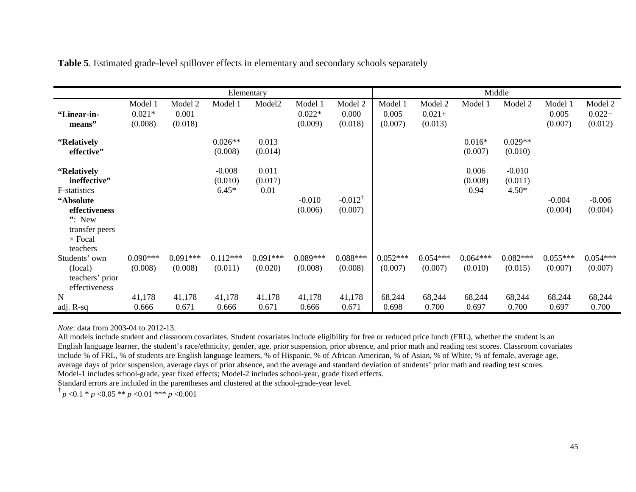|                 | Elementary |            |            |                    | Middle     |                    |            |            |            |            |            |            |
|-----------------|------------|------------|------------|--------------------|------------|--------------------|------------|------------|------------|------------|------------|------------|
|                 | Model 1    | Model 2    | Model 1    | Model <sub>2</sub> | Model 1    | Model 2            | Model 1    | Model 2    | Model 1    | Model 2    | Model 1    | Model 2    |
| "Linear-in-     | $0.021*$   | 0.001      |            |                    | $0.022*$   | 0.000              | 0.005      | $0.021 +$  |            |            | 0.005      | $0.022 +$  |
| means"          | (0.008)    | (0.018)    |            |                    | (0.009)    | (0.018)            | (0.007)    | (0.013)    |            |            | (0.007)    | (0.012)    |
| "Relatively     |            |            | $0.026**$  | 0.013              |            |                    |            |            | $0.016*$   | $0.029**$  |            |            |
| effective"      |            |            | (0.008)    | (0.014)            |            |                    |            |            | (0.007)    | (0.010)    |            |            |
| "Relatively     |            |            | $-0.008$   | 0.011              |            |                    |            |            | 0.006      | $-0.010$   |            |            |
| ineffective"    |            |            | (0.010)    | (0.017)            |            |                    |            |            | (0.008)    | (0.011)    |            |            |
| F-statistics    |            |            | $6.45*$    | 0.01               |            |                    |            |            | 0.94       | $4.50*$    |            |            |
| "Absolute       |            |            |            |                    | $-0.010$   | $-0.012^{\dagger}$ |            |            |            |            | $-0.004$   | $-0.006$   |
| effectiveness   |            |            |            |                    | (0.006)    | (0.007)            |            |            |            |            | (0.004)    | (0.004)    |
| $"$ : New       |            |            |            |                    |            |                    |            |            |            |            |            |            |
| transfer peers  |            |            |            |                    |            |                    |            |            |            |            |            |            |
| $\times$ Focal  |            |            |            |                    |            |                    |            |            |            |            |            |            |
| teachers        |            |            |            |                    |            |                    |            |            |            |            |            |            |
| Students' own   | $0.090***$ | $0.091***$ | $0.112***$ | $0.091***$         | $0.089***$ | $0.088***$         | $0.052***$ | $0.054***$ | $0.064***$ | $0.082***$ | $0.055***$ | $0.054***$ |
| (focal)         | (0.008)    | (0.008)    | (0.011)    | (0.020)            | (0.008)    | (0.008)            | (0.007)    | (0.007)    | (0.010)    | (0.015)    | (0.007)    | (0.007)    |
| teachers' prior |            |            |            |                    |            |                    |            |            |            |            |            |            |
| effectiveness   |            |            |            |                    |            |                    |            |            |            |            |            |            |
| N               | 41,178     | 41,178     | 41,178     | 41,178             | 41,178     | 41,178             | 68,244     | 68,244     | 68,244     | 68,244     | 68,244     | 68,244     |
| adj. R-sq       | 0.666      | 0.671      | 0.666      | 0.671              | 0.666      | 0.671              | 0.698      | 0.700      | 0.697      | 0.700      | 0.697      | 0.700      |

**Table 5**. Estimated grade-level spillover effects in elementary and secondary schools separately

*Note*: data from 2003-04 to 2012-13.

All models include student and classroom covariates. Student covariates include eligibility for free or reduced price lunch (FRL), whether the student is an English language learner, the student's race/ethnicity, gender, age, prior suspension, prior absence, and prior math and reading test scores. Classroom covariates include % of FRL, % of students are English language learners, % of Hispanic, % of African American, % of Asian, % of White, % of female, average age, average days of prior suspension, average days of prior absence, and the average and standard deviation of students' prior math and reading test scores. Model-1 includes school-grade, year fixed effects; Model-2 includes school-year, grade fixed effects.

Standard errors are included in the parentheses and clustered at the school-grade-year level.

 $\frac{1}{p}$   $p \le 0.1 * p \le 0.05 * * p \le 0.01 * ** p \le 0.001$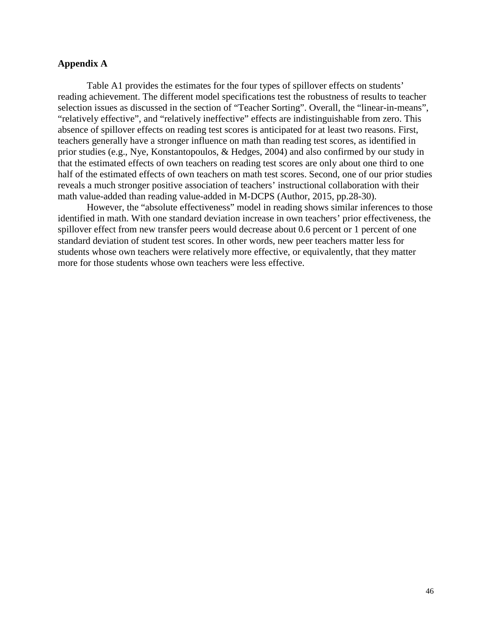## **Appendix A**

Table A1 provides the estimates for the four types of spillover effects on students' reading achievement. The different model specifications test the robustness of results to teacher selection issues as discussed in the section of "Teacher Sorting". Overall, the "linear-in-means", "relatively effective", and "relatively ineffective" effects are indistinguishable from zero. This absence of spillover effects on reading test scores is anticipated for at least two reasons. First, teachers generally have a stronger influence on math than reading test scores, as identified in prior studies (e.g., Nye, Konstantopoulos, & Hedges, 2004) and also confirmed by our study in that the estimated effects of own teachers on reading test scores are only about one third to one half of the estimated effects of own teachers on math test scores. Second, one of our prior studies reveals a much stronger positive association of teachers' instructional collaboration with their math value-added than reading value-added in M-DCPS (Author, 2015, pp.28-30).

However, the "absolute effectiveness" model in reading shows similar inferences to those identified in math. With one standard deviation increase in own teachers' prior effectiveness, the spillover effect from new transfer peers would decrease about 0.6 percent or 1 percent of one standard deviation of student test scores. In other words, new peer teachers matter less for students whose own teachers were relatively more effective, or equivalently, that they matter more for those students whose own teachers were less effective.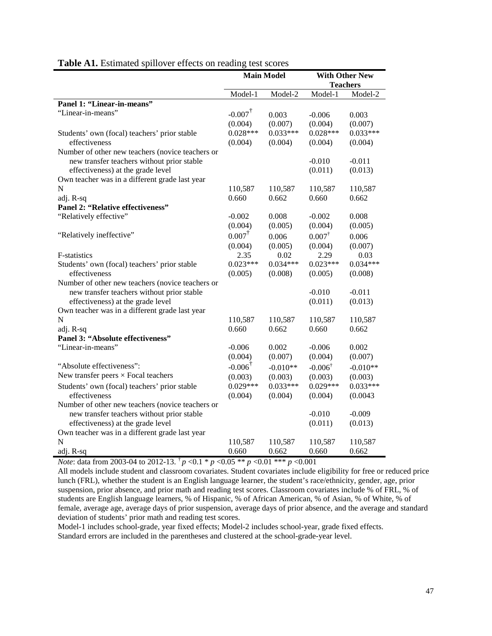|                                                  | <b>Main Model</b>     |            |                    | <b>With Other New</b> |
|--------------------------------------------------|-----------------------|------------|--------------------|-----------------------|
|                                                  |                       |            |                    | <b>Teachers</b>       |
|                                                  | Model-1               | Model-2    | Model-1            | Model-2               |
| Panel 1: "Linear-in-means"                       |                       |            |                    |                       |
| "Linear-in-means"                                | $-0.007$ <sup>†</sup> | 0.003      | $-0.006$           | 0.003                 |
|                                                  | (0.004)               | (0.007)    | (0.004)            | (0.007)               |
| Students' own (focal) teachers' prior stable     | $0.028***$            | $0.033***$ | $0.028***$         | $0.033***$            |
| effectiveness                                    | (0.004)               | (0.004)    | (0.004)            | (0.004)               |
| Number of other new teachers (novice teachers or |                       |            |                    |                       |
| new transfer teachers without prior stable       |                       |            | $-0.010$           | $-0.011$              |
| effectiveness) at the grade level                |                       |            | (0.011)            | (0.013)               |
| Own teacher was in a different grade last year   |                       |            |                    |                       |
| N                                                | 110,587               | 110,587    | 110,587            | 110,587               |
| adj. R-sq                                        | 0.660                 | 0.662      | 0.660              | 0.662                 |
| Panel 2: "Relative effectiveness"                |                       |            |                    |                       |
| "Relatively effective"                           | $-0.002$              | 0.008      | $-0.002$           | 0.008                 |
|                                                  | (0.004)               | (0.005)    | (0.004)            | (0.005)               |
| "Relatively ineffective"                         | $0.007^{\dagger}$     | 0.006      | $0.007^{\dagger}$  | 0.006                 |
|                                                  | (0.004)               | (0.005)    | (0.004)            | (0.007)               |
| F-statistics                                     | 2.35                  | 0.02       | 2.29               | 0.03                  |
| Students' own (focal) teachers' prior stable     | $0.023***$            | $0.034***$ | $0.023***$         | $0.034***$            |
| effectiveness                                    | (0.005)               | (0.008)    | (0.005)            | (0.008)               |
| Number of other new teachers (novice teachers or |                       |            |                    |                       |
| new transfer teachers without prior stable       |                       |            | $-0.010$           | $-0.011$              |
| effectiveness) at the grade level                |                       |            | (0.011)            | (0.013)               |
| Own teacher was in a different grade last year   |                       |            |                    |                       |
| N                                                | 110,587               | 110,587    | 110,587            | 110,587               |
| adj. R-sq                                        | 0.660                 | 0.662      | 0.660              | 0.662                 |
| Panel 3: "Absolute effectiveness"                |                       |            |                    |                       |
| "Linear-in-means"                                | $-0.006$              | 0.002      | $-0.006$           | 0.002                 |
|                                                  | (0.004)               | (0.007)    | (0.004)            | (0.007)               |
| "Absolute effectiveness":                        | $-0.006^{\dagger}$    | $-0.010**$ | $-0.006^{\dagger}$ | $-0.010**$            |
| New transfer peers $\times$ Focal teachers       | (0.003)               | (0.003)    | (0.003)            | (0.003)               |
| Students' own (focal) teachers' prior stable     | $0.029***$            | $0.033***$ | $0.029***$         | $0.033***$            |
| effectiveness                                    | (0.004)               | (0.004)    | (0.004)            | (0.0043)              |
| Number of other new teachers (novice teachers or |                       |            |                    |                       |
| new transfer teachers without prior stable       |                       |            | $-0.010$           | $-0.009$              |
| effectiveness) at the grade level                |                       |            | (0.011)            | (0.013)               |
| Own teacher was in a different grade last year   |                       |            |                    |                       |
| $\mathbf N$                                      | 110,587               | 110,587    | 110,587            | 110,587               |
| adj. R-sq                                        | 0.660                 | 0.662      | 0.660              | 0.662                 |

# **Table A1.** Estimated spillover effects on reading test scores

*Note*: data from 2003-04 to 2012-13. <sup>†</sup> *p* <0.1 \* *p* <0.05 \*\* *p* <0.01 \*\*\* *p* <0.001

All models include student and classroom covariates. Student covariates include eligibility for free or reduced price lunch (FRL), whether the student is an English language learner, the student's race/ethnicity, gender, age, prior suspension, prior absence, and prior math and reading test scores. Classroom covariates include % of FRL, % of students are English language learners, % of Hispanic, % of African American, % of Asian, % of White, % of female, average age, average days of prior suspension, average days of prior absence, and the average and standard deviation of students' prior math and reading test scores.

Model-1 includes school-grade, year fixed effects; Model-2 includes school-year, grade fixed effects. Standard errors are included in the parentheses and clustered at the school-grade-year level.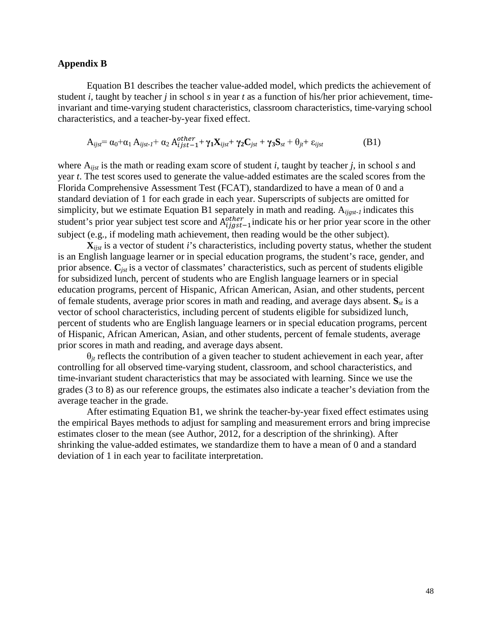## **Appendix B**

Equation B1 describes the teacher value-added model, which predicts the achievement of student *i*, taught by teacher *j* in school *s* in year *t* as a function of his/her prior achievement, timeinvariant and time-varying student characteristics, classroom characteristics, time-varying school characteristics, and a teacher-by-year fixed effect.

$$
A_{ijst} = \alpha_0 + \alpha_1 A_{ijst-l} + \alpha_2 A_{ijst-l}^{other} + \gamma_1 X_{ijst} + \gamma_2 C_{jst} + \gamma_3 S_{st} + \theta_{jt} + \varepsilon_{ijst}
$$
(B1)

where A*ijst* is the math or reading exam score of student *i*, taught by teacher *j*, in school *s* and year *t*. The test scores used to generate the value-added estimates are the scaled scores from the Florida Comprehensive Assessment Test (FCAT), standardized to have a mean of 0 and a standard deviation of 1 for each grade in each year. Superscripts of subjects are omitted for simplicity, but we estimate Equation B1 separately in math and reading. A*ijgst-1* indicates this student's prior year subject test score and  $A_{ijgst-1}^{other}$  indicate his or her prior year score in the other subject (e.g., if modeling math achievement, then reading would be the other subject).

 $\mathbf{X}_{i}$  is a vector of student *i*'s characteristics, including poverty status, whether the student is an English language learner or in special education programs, the student's race, gender, and prior absence. **C***jst* is a vector of classmates' characteristics, such as percent of students eligible for subsidized lunch, percent of students who are English language learners or in special education programs, percent of Hispanic, African American, Asian, and other students, percent of female students, average prior scores in math and reading, and average days absent. **S***st* is a vector of school characteristics, including percent of students eligible for subsidized lunch, percent of students who are English language learners or in special education programs, percent of Hispanic, African American, Asian, and other students, percent of female students, average prior scores in math and reading, and average days absent.

 $\theta_{it}$  reflects the contribution of a given teacher to student achievement in each year, after controlling for all observed time-varying student, classroom, and school characteristics, and time-invariant student characteristics that may be associated with learning. Since we use the grades (3 to 8) as our reference groups, the estimates also indicate a teacher's deviation from the average teacher in the grade.

After estimating Equation B1, we shrink the teacher-by-year fixed effect estimates using the empirical Bayes methods to adjust for sampling and measurement errors and bring imprecise estimates closer to the mean (see Author, 2012, for a description of the shrinking). After shrinking the value-added estimates, we standardize them to have a mean of 0 and a standard deviation of 1 in each year to facilitate interpretation.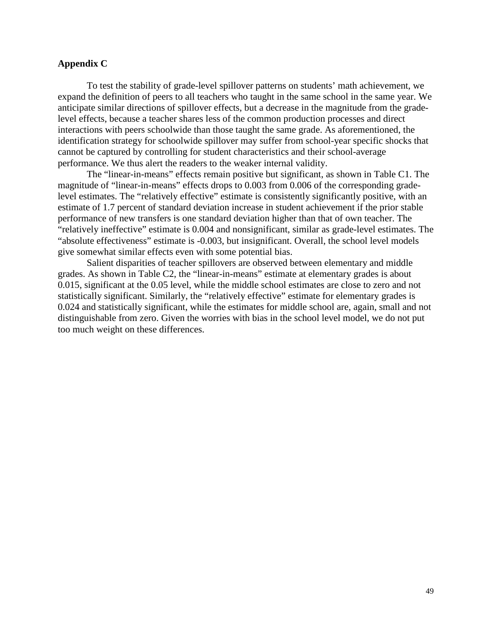## **Appendix C**

To test the stability of grade-level spillover patterns on students' math achievement, we expand the definition of peers to all teachers who taught in the same school in the same year. We anticipate similar directions of spillover effects, but a decrease in the magnitude from the gradelevel effects, because a teacher shares less of the common production processes and direct interactions with peers schoolwide than those taught the same grade. As aforementioned, the identification strategy for schoolwide spillover may suffer from school-year specific shocks that cannot be captured by controlling for student characteristics and their school-average performance. We thus alert the readers to the weaker internal validity.

The "linear-in-means" effects remain positive but significant, as shown in Table C1. The magnitude of "linear-in-means" effects drops to 0.003 from 0.006 of the corresponding gradelevel estimates. The "relatively effective" estimate is consistently significantly positive, with an estimate of 1.7 percent of standard deviation increase in student achievement if the prior stable performance of new transfers is one standard deviation higher than that of own teacher. The "relatively ineffective" estimate is 0.004 and nonsignificant, similar as grade-level estimates. The "absolute effectiveness" estimate is -0.003, but insignificant. Overall, the school level models give somewhat similar effects even with some potential bias.

Salient disparities of teacher spillovers are observed between elementary and middle grades. As shown in Table C2, the "linear-in-means" estimate at elementary grades is about 0.015, significant at the 0.05 level, while the middle school estimates are close to zero and not statistically significant. Similarly, the "relatively effective" estimate for elementary grades is 0.024 and statistically significant, while the estimates for middle school are, again, small and not distinguishable from zero. Given the worries with bias in the school level model, we do not put too much weight on these differences.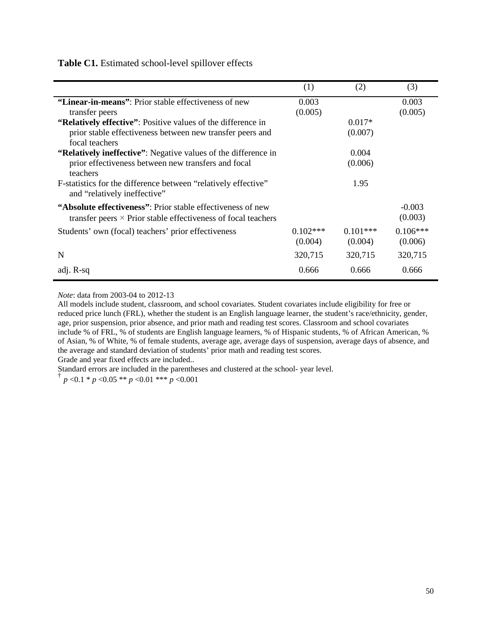**Table C1.** Estimated school-level spillover effects

|                                                                                                | (1)        | (2)        | (3)        |
|------------------------------------------------------------------------------------------------|------------|------------|------------|
| "Linear-in-means": Prior stable effectiveness of new                                           | 0.003      |            | 0.003      |
| transfer peers                                                                                 | (0.005)    |            | (0.005)    |
| "Relatively effective": Positive values of the difference in                                   |            | $0.017*$   |            |
| prior stable effectiveness between new transfer peers and                                      |            | (0.007)    |            |
| focal teachers                                                                                 |            |            |            |
| "Relatively ineffective": Negative values of the difference in                                 |            | 0.004      |            |
| prior effectiveness between new transfers and focal                                            |            | (0.006)    |            |
| teachers                                                                                       |            |            |            |
| F-statistics for the difference between "relatively effective"<br>and "relatively ineffective" |            | 1.95       |            |
| "Absolute effectiveness": Prior stable effectiveness of new                                    |            |            | $-0.003$   |
| transfer peers $\times$ Prior stable effectiveness of focal teachers                           |            |            | (0.003)    |
| Students' own (focal) teachers' prior effectiveness                                            | $0.102***$ | $0.101***$ | $0.106***$ |
|                                                                                                | (0.004)    | (0.004)    | (0.006)    |
| N                                                                                              | 320,715    | 320,715    | 320,715    |
|                                                                                                |            |            |            |
| adj. R-sq                                                                                      | 0.666      | 0.666      | 0.666      |

*Note*: data from 2003-04 to 2012-13

j,

All models include student, classroom, and school covariates. Student covariates include eligibility for free or reduced price lunch (FRL), whether the student is an English language learner, the student's race/ethnicity, gender, age, prior suspension, prior absence, and prior math and reading test scores. Classroom and school covariates include % of FRL, % of students are English language learners, % of Hispanic students, % of African American, % of Asian, % of White, % of female students, average age, average days of suspension, average days of absence, and the average and standard deviation of students' prior math and reading test scores. Grade and year fixed effects are included..

Standard errors are included in the parentheses and clustered at the school- year level.

 $\frac{1}{p}$   $p$  <0.1 \* *p* <0.05 \*\* *p* <0.01 \*\*\* *p* <0.001